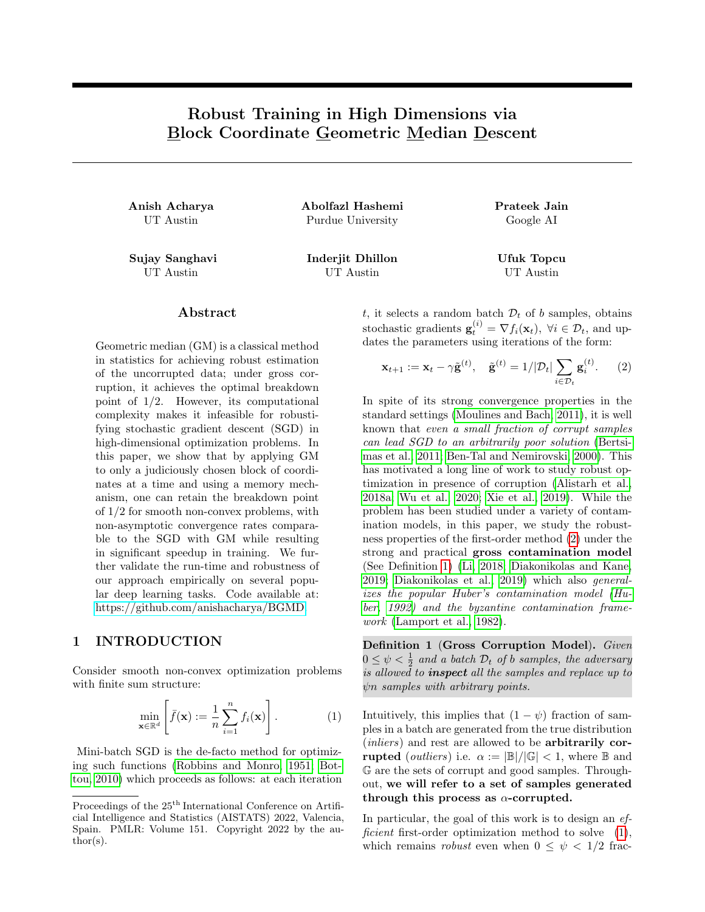# Robust Training in High Dimensions via Block Coordinate Geometric Median Descent

Anish Acharya Abolfazl Hashemi Prateek Jain UT Austin Purdue University Google AI

Sujay Sanghavi Inderjit Dhillon Ufuk Topcu UT Austin UT Austin UT Austin

 ${\rm Abstract}$ 

Geometric median (GM) is a classical method in statistics for achieving robust estimation of the uncorrupted data; under gross corruption, it achieves the optimal breakdown point of 1/2. However, its computational complexity makes it infeasible for robustifying stochastic gradient descent (SGD) in high-dimensional optimization problems. In this paper, we show that by applying GM to only a judiciously chosen block of coordinates at a time and using a memory mechanism, one can retain the breakdown point of 1/2 for smooth non-convex problems, with non-asymptotic convergence rates comparable to the SGD with GM while resulting in significant speedup in training. We further validate the run-time and robustness of our approach empirically on several popular deep learning tasks. Code available at: [https://github.com/anishacharya/BGMD.](https://github.com/anishacharya/BGMD)

# <span id="page-0-3"></span>1 INTRODUCTION

Consider smooth non-convex optimization problems with finite sum structure:

<span id="page-0-2"></span>
$$
\min_{\mathbf{x} \in \mathbb{R}^d} \left[ \bar{f}(\mathbf{x}) := \frac{1}{n} \sum_{i=1}^n f_i(\mathbf{x}) \right]. \tag{1}
$$

Mini-batch SGD is the de-facto method for optimizing such functions [\(Robbins and Monro, 1951;](#page-11-0) [Bot](#page-9-0)[tou, 2010\)](#page-9-0) which proceeds as follows: at each iteration t, it selects a random batch  $\mathcal{D}_t$  of b samples, obtains stochastic gradients  $\mathbf{g}_t^{(i)} = \nabla f_i(\mathbf{x}_t)$ ,  $\forall i \in \mathcal{D}_t$ , and updates the parameters using iterations of the form:

<span id="page-0-0"></span>
$$
\mathbf{x}_{t+1} := \mathbf{x}_t - \gamma \tilde{\mathbf{g}}^{(t)}, \quad \tilde{\mathbf{g}}^{(t)} = 1/|\mathcal{D}_t| \sum_{i \in \mathcal{D}_t} \mathbf{g}_i^{(t)}.
$$
 (2)

In spite of its strong convergence properties in the standard settings [\(Moulines and Bach, 2011\)](#page-11-1), it is well known that even a small fraction of corrupt samples can lead SGD to an arbitrarily poor solution [\(Bertsi](#page-9-1)[mas et al., 2011;](#page-9-1) [Ben-Tal and Nemirovski, 2000\)](#page-9-2). This has motivated a long line of work to study robust optimization in presence of corruption [\(Alistarh et al.,](#page-9-3) [2018a;](#page-9-3) [Wu et al., 2020;](#page-12-0) [Xie et al., 2019\)](#page-12-1). While the problem has been studied under a variety of contamination models, in this paper, we study the robustness properties of the first-order method [\(2\)](#page-0-0) under the strong and practical gross contamination model (See Definition [1\)](#page-0-1) [\(Li, 2018;](#page-11-2) [Diakonikolas and Kane,](#page-10-0) [2019;](#page-10-0) [Diakonikolas et al., 2019\)](#page-10-1) which also generalizes the popular Huber's contamination model [\(Hu](#page-10-2)[ber, 1992\)](#page-10-2) and the byzantine contamination framework [\(Lamport et al., 1982\)](#page-11-3).

<span id="page-0-1"></span>Definition 1 (Gross Corruption Model). Given  $0 \leq \psi < \frac{1}{2}$  and a batch  $\mathcal{D}_t$  of b samples, the adversary is allowed to **inspect** all the samples and replace up to ψn samples with arbitrary points.

Intuitively, this implies that  $(1 - \psi)$  fraction of samples in a batch are generated from the true distribution (*inliers*) and rest are allowed to be **arbitrarily corrupted** (*outliers*) i.e.  $\alpha := |\mathbb{B}|/|\mathbb{G}| < 1$ , where  $\mathbb{B}$  and G are the sets of corrupt and good samples. Throughout, we will refer to a set of samples generated through this process as  $\alpha$ -corrupted.

In particular, the goal of this work is to design an  $ef$ -ficient first-order optimization method to solve [\(1\)](#page-0-2), which remains *robust* even when  $0 \leq \psi < 1/2$  frac-

Proceedings of the  $25^{\text{th}}$  International Conference on Artificial Intelligence and Statistics (AISTATS) 2022, Valencia, Spain. PMLR: Volume 151. Copyright 2022 by the au- $\text{thor}(s)$ .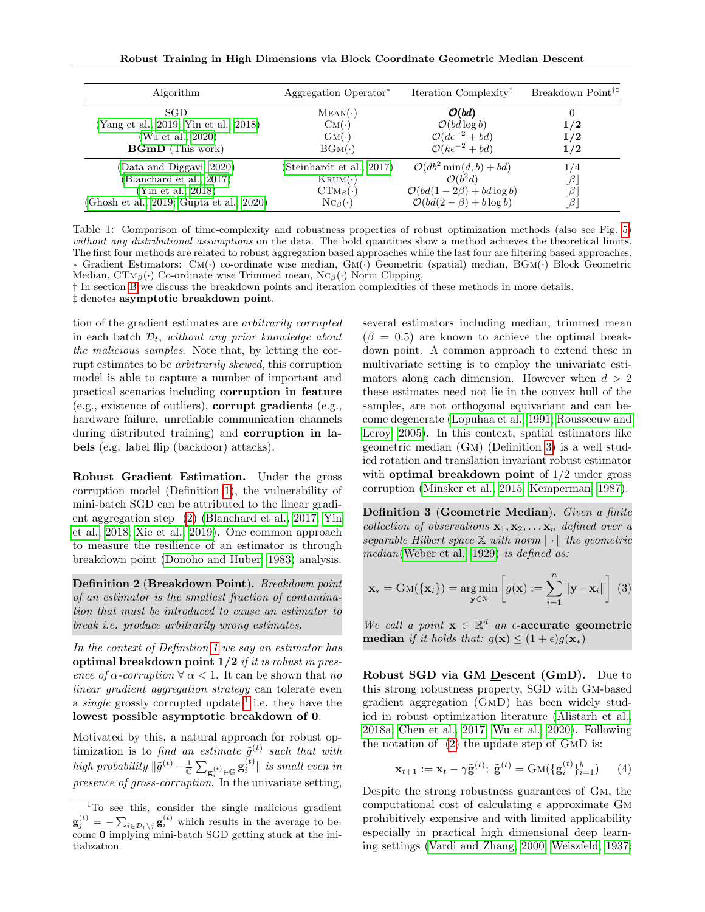Robust Training in High Dimensions via Block Coordinate Geometric Median Descent

<span id="page-1-2"></span>

| Algorithm                                                                                                              | Aggregation Operator <sup>*</sup>                                                                                           | Iteration Complexity <sup>1</sup>                                                                                                           | Breakdown Point <sup>†‡</sup>  |
|------------------------------------------------------------------------------------------------------------------------|-----------------------------------------------------------------------------------------------------------------------------|---------------------------------------------------------------------------------------------------------------------------------------------|--------------------------------|
| <b>SGD</b><br>(Yang et al., 2019; Yin et al., 2018)<br>(Wu et al., 2020)<br><b>BGmD</b> (This work)                    | $MEAN(\cdot)$<br>$\text{CM}(\cdot)$<br>$\text{GM}(\cdot)$<br>$BGM(\cdot)$                                                   | $\mathcal{O}(bd)$<br>$\mathcal{O}(bd \log b)$<br>$\mathcal{O}(d\epsilon^{-2} + bd)$<br>$\mathcal{O}(k\epsilon^{-2} + bd)$                   | 1/2<br>1/2<br>1/2              |
| (Data and Diggavi, 2020)<br>(Blanchard et al., 2017)<br>(Yin et al., 2018)<br>(Ghosh et al., 2019; Gupta et al., 2020) | (Steinhardt et al., 2017)<br>$\text{K } \text{R} \text{U} \text{M} (\cdot)$<br>$CTM_{\beta}(\cdot)$<br>$N C_{\beta}(\cdot)$ | $\mathcal{O}(db^2 \min(d, b) + bd)$<br>$\mathcal{O}(b^2d)$<br>$\mathcal{O}(bd(1-2\beta) + bd \log b)$<br>$\mathcal{O}(bd(2-\beta)+b\log b)$ | 1/4<br>$\beta$<br>$\beta$<br>β |

Table 1: Comparison of time-complexity and robustness properties of robust optimization methods (also see Fig. [5\)](#page-8-0) without any distributional assumptions on the data. The bold quantities show a method achieves the theoretical limits. The first four methods are related to robust aggregation based approaches while the last four are filtering based approaches. ∗ Gradient Estimators: Cm(·) co-ordinate wise median, Gm(·) Geometric (spatial) median, BGm(·) Block Geometric Median,  $CTM_\beta(\cdot)$  Co-ordinate wise Trimmed mean,  $NC_\beta(\cdot)$  Norm Clipping.

† In section [B](#page-13-0) we discuss the breakdown points and iteration complexities of these methods in more details.

‡ denotes asymptotic breakdown point.

tion of the gradient estimates are arbitrarily corrupted in each batch  $\mathcal{D}_t$ , without any prior knowledge about the malicious samples. Note that, by letting the corrupt estimates to be arbitrarily skewed, this corruption model is able to capture a number of important and practical scenarios including corruption in feature (e.g., existence of outliers), corrupt gradients (e.g., hardware failure, unreliable communication channels during distributed training) and corruption in labels (e.g. label flip (backdoor) attacks).

Robust Gradient Estimation. Under the gross corruption model (Definition [1\)](#page-0-1), the vulnerability of mini-batch SGD can be attributed to the linear gradient aggregation step [\(2\)](#page-0-0) [\(Blanchard et al., 2017;](#page-9-4) [Yin](#page-12-3) [et al., 2018;](#page-12-3) [Xie et al., 2019\)](#page-12-1). One common approach to measure the resilience of an estimator is through breakdown point [\(Donoho and Huber, 1983\)](#page-10-6) analysis.

<span id="page-1-3"></span>Definition 2 (Breakdown Point). Breakdown point of an estimator is the smallest fraction of contamination that must be introduced to cause an estimator to break i.e. produce arbitrarily wrong estimates.

In the context of Definition [1](#page-0-1) we say an estimator has optimal breakdown point  $1/2$  if it is robust in presence of  $\alpha$ -corruption  $\forall \alpha < 1$ . It can be shown that no linear gradient aggregation strategy can tolerate even a *single* grossly corrupted update  $\frac{1}{1}$  $\frac{1}{1}$  $\frac{1}{1}$  i.e. they have the lowest possible asymptotic breakdown of 0.

Motivated by this, a natural approach for robust optimization is to find an estimate  $\tilde{g}^{(t)}$  such that with high probability  $\|\tilde{g}^{(t)} - \frac{1}{\mathbb{G}} \sum_{\mathbf{g}_i^{(t)} \in \mathbb{G}} \mathbf{g}_i^{(t)}\|$  is small even in presence of gross-corruption. In the univariate setting,

several estimators including median, trimmed mean  $(\beta = 0.5)$  are known to achieve the optimal breakdown point. A common approach to extend these in multivariate setting is to employ the univariate estimators along each dimension. However when  $d > 2$ these estimates need not lie in the convex hull of the samples, are not orthogonal equivariant and can become degenerate [\(Lopuhaa et al., 1991;](#page-11-4) [Rousseeuw and](#page-11-5) [Leroy, 2005\)](#page-11-5). In this context, spatial estimators like geometric median (Gm) (Definition [3\)](#page-1-1) is a well studied rotation and translation invariant robust estimator with optimal breakdown point of 1/2 under gross corruption [\(Minsker et al., 2015;](#page-11-6) [Kemperman, 1987\)](#page-10-7).

<span id="page-1-1"></span>Definition 3 (Geometric Median). Given a finite collection of observations  $x_1, x_2, \ldots x_n$  defined over a separable Hilbert space X with norm  $\|\cdot\|$  the geometric median[\(Weber et al., 1929\)](#page-12-5) is defined as:

$$
\mathbf{x}_{*} = \text{GM}(\{\mathbf{x}_{i}\}) = \underset{\mathbf{y} \in \mathbb{X}}{\arg \min} \left[g(\mathbf{x}) := \sum_{i=1}^{n} ||\mathbf{y} - \mathbf{x}_{i}||\right] \tag{3}
$$

We call a point  $\mathbf{x} \in \mathbb{R}^d$  an  $\epsilon$ -accurate geometric median if it holds that:  $g(\mathbf{x}) \leq (1+\epsilon)g(\mathbf{x}_*)$ 

Robust SGD via GM Descent (GmD). Due to this strong robustness property, SGD with Gm-based gradient aggregation (GmD) has been widely studied in robust optimization literature [\(Alistarh et al.,](#page-9-3) [2018a;](#page-9-3) [Chen et al., 2017;](#page-9-5) [Wu et al., 2020\)](#page-12-0). Following the notation of [\(2\)](#page-0-0) the update step of GmD is:

$$
\mathbf{x}_{t+1} := \mathbf{x}_t - \gamma \tilde{\mathbf{g}}^{(t)}; \ \tilde{\mathbf{g}}^{(t)} = \text{GM}(\{\mathbf{g}_i^{(t)}\}_{i=1}^b) \tag{4}
$$

Despite the strong robustness guarantees of Gm, the computational cost of calculating  $\epsilon$  approximate GM prohibitively expensive and with limited applicability especially in practical high dimensional deep learning settings [\(Vardi and Zhang, 2000;](#page-12-6) [Weiszfeld, 1937;](#page-12-7)

<span id="page-1-0"></span><sup>&</sup>lt;sup>1</sup>To see this, consider the single malicious gradient  $\mathbf{g}_{j}^{(t)} = -\sum_{i \in \mathcal{D}_{t}\setminus j} \mathbf{g}_{i}^{(t)}$  which results in the average to become 0 implying mini-batch SGD getting stuck at the initialization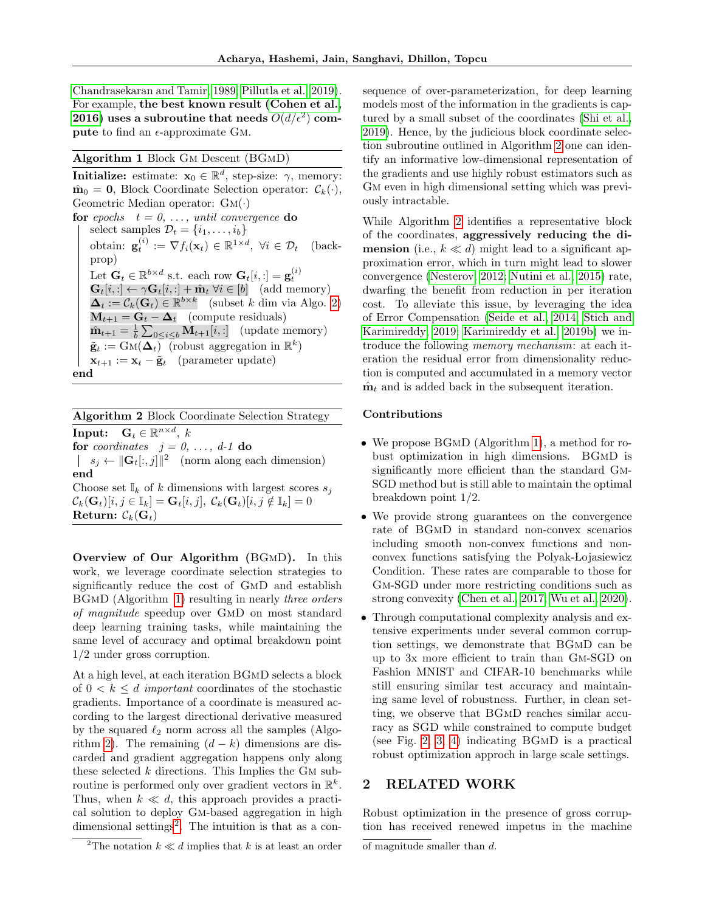[Chandrasekaran and Tamir, 1989;](#page-9-6) [Pillutla et al., 2019\)](#page-11-7). For example, the best known result [\(Cohen et al.,](#page-9-7) [2016\)](#page-9-7) uses a subroutine that needs  $O(d/\epsilon^2)$  compute to find an  $\epsilon$ -approximate GM.

### <span id="page-2-1"></span>Algorithm 1 Block Gm Descent (BGmD)

**Initialize:** estimate:  $\mathbf{x}_0 \in \mathbb{R}^d$ , step-size:  $\gamma$ , memory:  $\hat{\mathbf{m}}_0 = \mathbf{0}$ , Block Coordinate Selection operator:  $\mathcal{C}_k(\cdot)$ , Geometric Median operator:  $GM(\cdot)$ for epochs  $t = 0, \ldots,$  until convergence do select samples  $\mathcal{D}_t = \{i_1, \ldots, i_b\}$ obtain:  $\mathbf{g}_t^{(i)} := \nabla f_i(\mathbf{x}_t) \in \mathbb{R}^{1 \times d}, \ \forall i \in \mathcal{D}_t \quad \text{(back$ prop) Let  $\mathbf{G}_t \in \mathbb{R}^{b \times d}$  s.t. each row  $\mathbf{G}_t[i, :] = \mathbf{g}_t^{(i)}$  $\mathbf{G}_t[i, :] \leftarrow \gamma \mathbf{G}_t[i, :] + \hat{\mathbf{m}}_t \; \forall i \in [b] \; \text{ (add memory)}$  $\Delta_t := \mathcal{C}_k(\mathbf{G}_t) \in \mathbb{R}^{b \times k}$  (subset k dim via Algo. [2\)](#page-2-0)  $M_{t+1} = G_t - \Delta_t$  (compute residuals)  $\hat{\mathbf{m}}_{t+1} = \frac{1}{b} \sum_{0 \leq i \leq b} \mathbf{M}_{t+1}[i, :]$  (update memory)  $\tilde{\mathbf{g}}_t := \text{GM}(\boldsymbol{\Delta}_t)$  (robust aggregation in  $\mathbb{R}^k$ )  $\mathbf{x}_{t+1} := \mathbf{x}_t - \tilde{\mathbf{g}}_t$  (parameter update) end

<span id="page-2-0"></span>Algorithm 2 Block Coordinate Selection Strategy

Input:  $\mathbf{G}_t \in \mathbb{R}^{n \times d}$ , k for coordinates  $j = 0, \ldots, d$ -1 do  $s_j \leftarrow \|\mathbf{G}_t[:, j]\|^2$  (norm along each dimension) end Choose set  $\mathbb{I}_k$  of k dimensions with largest scores  $s_j$ 

 $\mathcal{C}_k(\mathbf{G}_t)[i, j \in \mathbb{I}_k] = \mathbf{G}_t[i, j], \ \mathcal{C}_k(\mathbf{G}_t)[i, j \notin \mathbb{I}_k] = 0$ Return:  $\mathcal{C}_k(\mathbf{G}_t)$ 

Overview of Our Algorithm (BGmD). In this work, we leverage coordinate selection strategies to significantly reduce the cost of GmD and establish BGMD (Algorithm [1\)](#page-2-1) resulting in nearly *three orders* of magnitude speedup over GmD on most standard deep learning training tasks, while maintaining the same level of accuracy and optimal breakdown point 1/2 under gross corruption.

At a high level, at each iteration BGmD selects a block of  $0 < k \leq d$  important coordinates of the stochastic gradients. Importance of a coordinate is measured according to the largest directional derivative measured by the squared  $\ell_2$  norm across all the samples (Algo-rithm [2\)](#page-2-0). The remaining  $(d - k)$  dimensions are discarded and gradient aggregation happens only along these selected  $k$  directions. This Implies the GM subroutine is performed only over gradient vectors in  $\mathbb{R}^k$ . Thus, when  $k \ll d$ , this approach provides a practical solution to deploy Gm-based aggregation in high dimensional settings<sup>[2](#page-2-2)</sup>. The intuition is that as a consequence of over-parameterization, for deep learning models most of the information in the gradients is captured by a small subset of the coordinates [\(Shi et al.,](#page-12-8) [2019\)](#page-12-8). Hence, by the judicious block coordinate selection subroutine outlined in Algorithm [2](#page-2-0) one can identify an informative low-dimensional representation of the gradients and use highly robust estimators such as GM even in high dimensional setting which was previously intractable.

While Algorithm [2](#page-2-0) identifies a representative block of the coordinates, aggressively reducing the di**mension** (i.e.,  $k \ll d$ ) might lead to a significant approximation error, which in turn might lead to slower convergence [\(Nesterov, 2012;](#page-11-8) [Nutini et al., 2015\)](#page-11-9) rate, dwarfing the benefit from reduction in per iteration cost. To alleviate this issue, by leveraging the idea of Error Compensation [\(Seide et al., 2014;](#page-11-10) [Stich and](#page-12-9) [Karimireddy, 2019;](#page-12-9) [Karimireddy et al., 2019b\)](#page-10-8) we introduce the following memory mechanism: at each iteration the residual error from dimensionality reduction is computed and accumulated in a memory vector  $\hat{\mathbf{m}}_t$  and is added back in the subsequent iteration.

### Contributions

- We propose BGMD (Algorithm [1\)](#page-2-1), a method for robust optimization in high dimensions. BGmD is significantly more efficient than the standard Gm-SGD method but is still able to maintain the optimal breakdown point 1/2.
- We provide strong guarantees on the convergence rate of BGmD in standard non-convex scenarios including smooth non-convex functions and nonconvex functions satisfying the Polyak-Lojasiewicz Condition. These rates are comparable to those for Gm-SGD under more restricting conditions such as strong convexity [\(Chen et al., 2017;](#page-9-5) [Wu et al., 2020\)](#page-12-0).
- Through computational complexity analysis and extensive experiments under several common corruption settings, we demonstrate that BGmD can be up to 3x more efficient to train than Gm-SGD on Fashion MNIST and CIFAR-10 benchmarks while still ensuring similar test accuracy and maintaining same level of robustness. Further, in clean setting, we observe that BGmD reaches similar accuracy as SGD while constrained to compute budget (see Fig. [2,](#page-7-0) [3,](#page-7-1) [4\)](#page-8-1) indicating BGmD is a practical robust optimization approch in large scale settings.

# <span id="page-2-3"></span>2 RELATED WORK

Robust optimization in the presence of gross corruption has received renewed impetus in the machine

<span id="page-2-2"></span><sup>&</sup>lt;sup>2</sup>The notation  $k \ll d$  implies that k is at least an order

of magnitude smaller than d.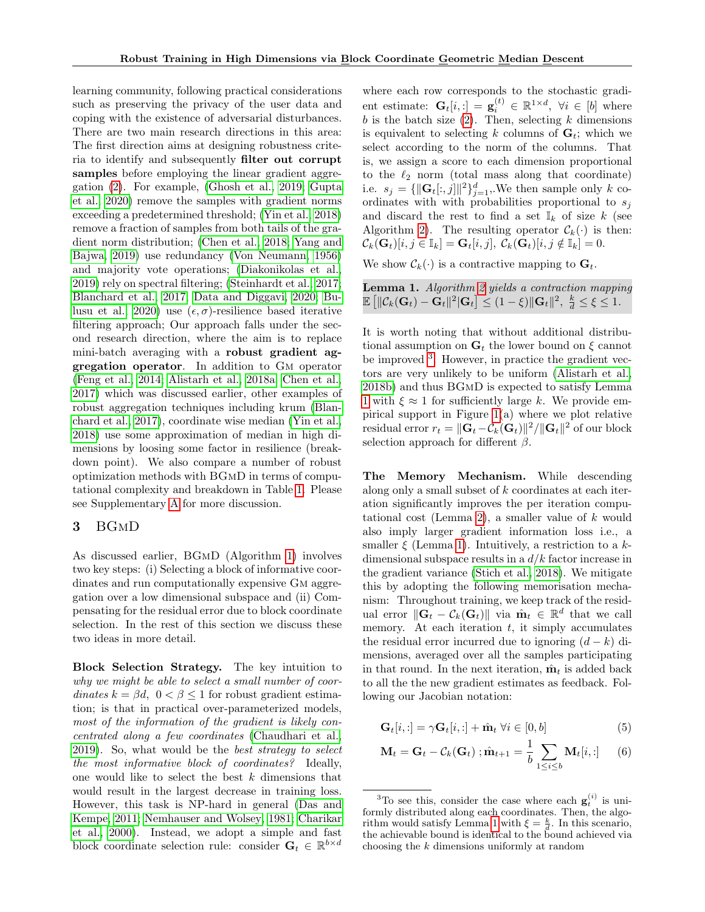learning community, following practical considerations such as preserving the privacy of the user data and coping with the existence of adversarial disturbances. There are two main research directions in this area: The first direction aims at designing robustness criteria to identify and subsequently filter out corrupt samples before employing the linear gradient aggregation [\(2\)](#page-0-0). For example, [\(Ghosh et al., 2019;](#page-10-4) [Gupta](#page-10-5) [et al., 2020\)](#page-10-5) remove the samples with gradient norms exceeding a predetermined threshold; [\(Yin et al., 2018\)](#page-12-3) remove a fraction of samples from both tails of the gradient norm distribution; [\(Chen et al., 2018;](#page-9-8) [Yang and](#page-12-10) [Bajwa, 2019\)](#page-12-10) use redundancy [\(Von Neumann, 1956\)](#page-12-11) and majority vote operations; [\(Diakonikolas et al.,](#page-10-1) [2019\)](#page-10-1) rely on spectral filtering; [\(Steinhardt et al., 2017;](#page-12-4) [Blanchard et al., 2017;](#page-9-4) [Data and Diggavi, 2020;](#page-10-3) [Bu](#page-9-9)[lusu et al., 2020\)](#page-9-9) use  $(\epsilon, \sigma)$ -resilience based iterative filtering approach; Our approach falls under the second research direction, where the aim is to replace mini-batch averaging with a robust gradient aggregation operator. In addition to Gm operator [\(Feng et al., 2014;](#page-10-9) [Alistarh et al., 2018a;](#page-9-3) [Chen et al.,](#page-9-5) [2017\)](#page-9-5) which was discussed earlier, other examples of robust aggregation techniques including krum [\(Blan](#page-9-4)[chard et al., 2017\)](#page-9-4), coordinate wise median [\(Yin et al.,](#page-12-3) [2018\)](#page-12-3) use some approximation of median in high dimensions by loosing some factor in resilience (breakdown point). We also compare a number of robust optimization methods with BGmD in terms of computational complexity and breakdown in Table [1.](#page-1-2) Please see Supplementary [A](#page-13-1) for more discussion.

## 3 BGmD

As discussed earlier, BGmD (Algorithm [1\)](#page-2-1) involves two key steps: (i) Selecting a block of informative coordinates and run computationally expensive Gm aggregation over a low dimensional subspace and (ii) Compensating for the residual error due to block coordinate selection. In the rest of this section we discuss these two ideas in more detail.

Block Selection Strategy. The key intuition to why we might be able to select a small number of coordinates  $k = \beta d$ ,  $0 < \beta \leq 1$  for robust gradient estimation; is that in practical over-parameterized models, most of the information of the gradient is likely concentrated along a few coordinates [\(Chaudhari et al.,](#page-9-10) [2019\)](#page-9-10). So, what would be the best strategy to select the most informative block of coordinates? Ideally, one would like to select the best  $k$  dimensions that would result in the largest decrease in training loss. However, this task is NP-hard in general [\(Das and](#page-10-10) [Kempe, 2011;](#page-10-10) [Nemhauser and Wolsey, 1981;](#page-11-11) [Charikar](#page-9-11) [et al., 2000\)](#page-9-11). Instead, we adopt a simple and fast block coordinate selection rule: consider  $\mathbf{G}_t \in \mathbb{R}^{b \times d}$ 

where each row corresponds to the stochastic gradient estimate:  $\mathbf{G}_t[i, :] = \mathbf{g}_i^{(t)} \in \mathbb{R}^{1 \times d}, \ \forall i \in [b]$  where b is the batch size  $(2)$ . Then, selecting k dimensions is equivalent to selecting k columns of  $G_t$ ; which we select according to the norm of the columns. That is, we assign a score to each dimension proportional to the  $\ell_2$  norm (total mass along that coordinate) i.e.  $s_j = {\{\|\mathbf{G}_t[:,j]\|^2\}}_{j=1}^d$ , We then sample only k coordinates with with probabilities proportional to  $s_i$ and discard the rest to find a set  $\mathbb{I}_k$  of size k (see Algorithm [2\)](#page-2-0). The resulting operator  $\mathcal{C}_k(\cdot)$  is then:  $\mathcal{C}_k(\mathbf{G}_t)[i, j \in \mathbb{I}_k] = \mathbf{G}_t[i, j], \ \mathcal{C}_k(\mathbf{G}_t)[i, j \notin \mathbb{I}_k] = 0.$ 

We show  $\mathcal{C}_k(\cdot)$  is a contractive mapping to  $\mathbf{G}_t$ .

<span id="page-3-1"></span>

| <b>Lemma 1.</b> Algorithm 2 yields a contraction mapping                                                                                                     |  |  |  |
|--------------------------------------------------------------------------------------------------------------------------------------------------------------|--|--|--|
| $\mathbb{E} \left[ \ \mathcal{C}_k(\mathbf{G}_t) - \mathbf{G}_t\ ^2  \mathbf{G}_t \right] \leq (1 - \xi) \ \mathbf{G}_t\ ^2, \ \frac{k}{d} \leq \xi \leq 1.$ |  |  |  |

It is worth noting that without additional distributional assumption on  $G_t$  the lower bound on  $\xi$  cannot be improved <sup>[3](#page-3-0)</sup>. However, in practice the gradient vectors are very unlikely to be uniform [\(Alistarh et al.,](#page-9-12) [2018b\)](#page-9-12) and thus BGmD is expected to satisfy Lemma [1](#page-3-1) with  $\xi \approx 1$  for sufficiently large k. We provide empirical support in Figure [1\(](#page-4-0)a) where we plot relative residual error  $r_t = \|\mathbf{G}_t - \mathcal{C}_k(\mathbf{G}_t)\|^2 / \|\mathbf{G}_t\|^2$  of our block selection approach for different  $\beta$ .

The Memory Mechanism. While descending along only a small subset of k coordinates at each iteration significantly improves the per iteration compu-tational cost (Lemma [2\)](#page-4-1), a smaller value of  $k$  would also imply larger gradient information loss i.e., a smaller  $\xi$  (Lemma [1\)](#page-3-1). Intuitively, a restriction to a kdimensional subspace results in a  $d/k$  factor increase in the gradient variance [\(Stich et al., 2018\)](#page-12-12). We mitigate this by adopting the following memorisation mechanism: Throughout training, we keep track of the residual error  $\|\mathbf{G}_t - C_k(\mathbf{G}_t)\|$  via  $\hat{\mathbf{m}}_t \in \mathbb{R}^d$  that we call memory. At each iteration  $t$ , it simply accumulates the residual error incurred due to ignoring  $(d - k)$  dimensions, averaged over all the samples participating in that round. In the next iteration,  $\hat{\mathbf{m}}_t$  is added back to all the the new gradient estimates as feedback. Following our Jacobian notation:

<span id="page-3-2"></span>
$$
\mathbf{G}_t[i, :] = \gamma \mathbf{G}_t[i, :] + \hat{\mathbf{m}}_t \ \forall i \in [0, b]
$$
 (5)

<span id="page-3-3"></span>
$$
\mathbf{M}_t = \mathbf{G}_t - \mathcal{C}_k(\mathbf{G}_t) ; \hat{\mathbf{m}}_{t+1} = \frac{1}{b} \sum_{1 \le i \le b} \mathbf{M}_t[i, :] \qquad (6)
$$

<span id="page-3-0"></span><sup>&</sup>lt;sup>3</sup>To see this, consider the case where each  $\mathbf{g}_t^{(i)}$  is uniformly distributed along each coordinates. Then, the algo-rithm would satisfy Lemma [1](#page-3-1) with  $\xi = \frac{k}{d}$ . In this scenario, the achievable bound is identical to the bound achieved via choosing the k dimensions uniformly at random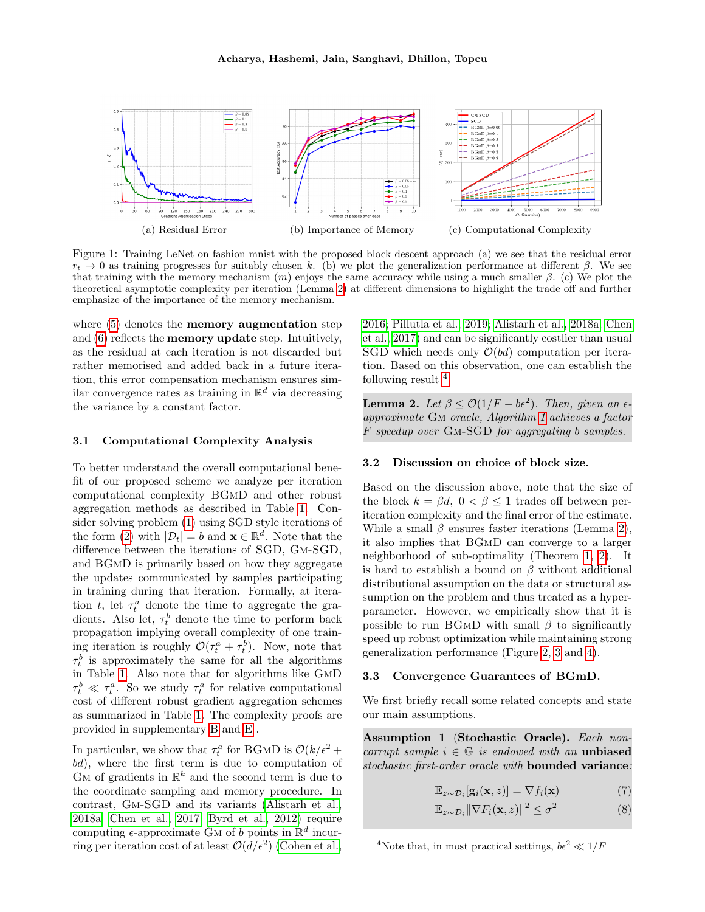<span id="page-4-0"></span>

Figure 1: Training LeNet on fashion mnist with the proposed block descent approach (a) we see that the residual error  $r_t \to 0$  as training progresses for suitably chosen k. (b) we plot the generalization performance at different β. We see that training with the memory mechanism  $(m)$  enjoys the same accuracy while using a much smaller  $\beta$ . (c) We plot the theoretical asymptotic complexity per iteration (Lemma [2\)](#page-4-1) at different dimensions to highlight the trade off and further emphasize of the importance of the memory mechanism.

where  $(5)$  denotes the **memory augmentation** step and [\(6\)](#page-3-3) reflects the memory update step. Intuitively, as the residual at each iteration is not discarded but rather memorised and added back in a future iteration, this error compensation mechanism ensures similar convergence rates as training in  $\mathbb{R}^d$  via decreasing the variance by a constant factor.

### 3.1 Computational Complexity Analysis

To better understand the overall computational benefit of our proposed scheme we analyze per iteration computational complexity BGmD and other robust aggregation methods as described in Table [1.](#page-1-2) Consider solving problem [\(1\)](#page-0-2) using SGD style iterations of the form [\(2\)](#page-0-0) with  $|\mathcal{D}_t| = b$  and  $\mathbf{x} \in \mathbb{R}^d$ . Note that the difference between the iterations of SGD, Gm-SGD, and BGmD is primarily based on how they aggregate the updates communicated by samples participating in training during that iteration. Formally, at iteration  $t$ , let  $\tau_t^a$  denote the time to aggregate the gradients. Also let,  $\tau_t^b$  denote the time to perform back propagation implying overall complexity of one training iteration is roughly  $\mathcal{O}(\tau_t^a + \tau_t^b)$ . Now, note that  $\tau_t^b$  is approximately the same for all the algorithms in Table [1.](#page-1-2) Also note that for algorithms like GmD  $\tau_t^b \ll \tau_t^a$ . So we study  $\tau_t^a$  for relative computational cost of different robust gradient aggregation schemes as summarized in Table [1.](#page-1-2) The complexity proofs are provided in supplementary [B](#page-13-0) and [E](#page-17-0) .

In particular, we show that  $\tau_t^a$  for BGMD is  $\mathcal{O}(k/\epsilon^2 +$ bd), where the first term is due to computation of  $\mathbf{G}$ M of gradients in  $\mathbb{R}^k$  and the second term is due to the coordinate sampling and memory procedure. In contrast, Gm-SGD and its variants [\(Alistarh et al.,](#page-9-3) [2018a;](#page-9-3) [Chen et al., 2017;](#page-9-5) [Byrd et al., 2012\)](#page-9-13) require computing  $\epsilon$ -approximate GM of b points in  $\mathbb{R}^d$  incurring per iteration cost of at least  $\mathcal{O}(d/\epsilon^2)$  [\(Cohen et al.,](#page-9-7)

[2016;](#page-9-7) [Pillutla et al., 2019;](#page-11-7) [Alistarh et al., 2018a;](#page-9-3) [Chen](#page-9-5) [et al., 2017\)](#page-9-5) and can be significantly costlier than usual SGD which needs only  $\mathcal{O}(bd)$  computation per iteration. Based on this observation, one can establish the following result  $4$ :

<span id="page-4-1"></span>**Lemma 2.** Let  $\beta \leq \mathcal{O}(1/F - b\epsilon^2)$ . Then, given an  $\epsilon$ approximate Gm oracle, Algorithm [1](#page-2-1) achieves a factor F speedup over Gm-SGD for aggregating b samples.

### 3.2 Discussion on choice of block size.

Based on the discussion above, note that the size of the block  $k = \beta d$ ,  $0 < \beta \leq 1$  trades off between periteration complexity and the final error of the estimate. While a small  $\beta$  ensures faster iterations (Lemma [2\)](#page-4-1), it also implies that BGmD can converge to a larger neighborhood of sub-optimality (Theorem [1,](#page-5-0) [2\)](#page-5-1). It is hard to establish a bound on  $\beta$  without additional distributional assumption on the data or structural assumption on the problem and thus treated as a hyperparameter. However, we empirically show that it is possible to run BGMD with small  $\beta$  to significantly speed up robust optimization while maintaining strong generalization performance (Figure [2,](#page-7-0) [3](#page-7-1) and [4\)](#page-8-1).

### 3.3 Convergence Guarantees of BGmD.

We first briefly recall some related concepts and state our main assumptions.

<span id="page-4-3"></span>Assumption 1 (Stochastic Oracle). Each noncorrupt sample  $i \in \mathbb{G}$  is endowed with an unbiased stochastic first-order oracle with **bounded variance**:

$$
\mathbb{E}_{z \sim \mathcal{D}_i}[\mathbf{g}_i(\mathbf{x}, z)] = \nabla f_i(\mathbf{x}) \tag{7}
$$

$$
\mathbb{E}_{z \sim \mathcal{D}_i} \|\nabla F_i(\mathbf{x}, z)\|^2 \le \sigma^2 \tag{8}
$$

<span id="page-4-2"></span><sup>&</sup>lt;sup>4</sup>Note that, in most practical settings,  $b\epsilon^2 \ll 1/F$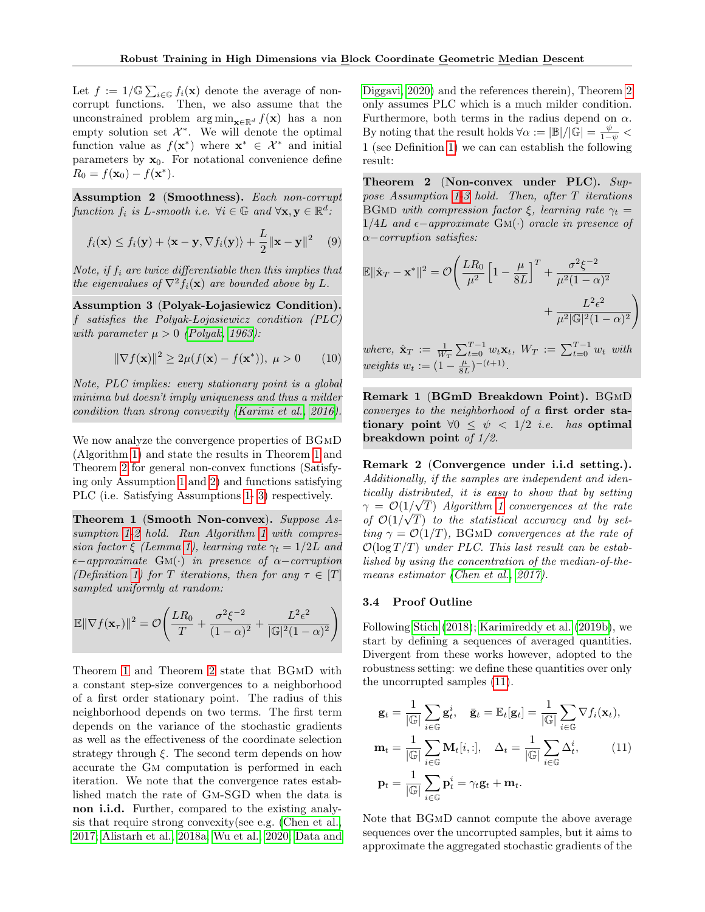Let  $f := 1/\mathbb{G} \sum_{i \in \mathbb{G}} f_i(\mathbf{x})$  denote the average of noncorrupt functions. Then, we also assume that the unconstrained problem  $\arg \min_{\mathbf{x} \in \mathbb{R}^d} f(\mathbf{x})$  has a non empty solution set  $\mathcal{X}^*$ . We will denote the optimal function value as  $f(\mathbf{x}^*)$  where  $\mathbf{x}^* \in \mathcal{X}^*$  and initial parameters by  $\mathbf{x}_0$ . For notational convenience define  $R_0 = f(\mathbf{x}_0) - f(\mathbf{x}^*).$ 

<span id="page-5-2"></span>Assumption 2 (Smoothness). Each non-corrupt function  $f_i$  is L-smooth i.e.  $\forall i \in \mathbb{G}$  and  $\forall \mathbf{x}, \mathbf{y} \in \mathbb{R}^d$ .

$$
f_i(\mathbf{x}) \le f_i(\mathbf{y}) + \langle \mathbf{x} - \mathbf{y}, \nabla f_i(\mathbf{y}) \rangle + \frac{L}{2} ||\mathbf{x} - \mathbf{y}||^2 \quad (9)
$$

Note, if  $f_i$  are twice differentiable then this implies that the eigenvalues of  $\nabla^2 f_i(\mathbf{x})$  are bounded above by L.

<span id="page-5-3"></span>Assumption 3 (Polyak-Lojasiewicz Condition). f satisfies the Polyak-Lojasiewicz condition  $(PLC)$ with parameter  $\mu > 0$  [\(Polyak, 1963\)](#page-11-12):

$$
\|\nabla f(\mathbf{x})\|^2 \ge 2\mu(f(\mathbf{x}) - f(\mathbf{x}^*)), \ \mu > 0 \tag{10}
$$

Note, PLC implies: every stationary point is a global minima but doesn't imply uniqueness and thus a milder condition than strong convexity [\(Karimi et al., 2016\)](#page-10-11).

We now analyze the convergence properties of BGmD (Algorithm [1\)](#page-2-1) and state the results in Theorem [1](#page-5-0) and Theorem [2](#page-5-1) for general non-convex functions (Satisfying only Assumption [1](#page-4-3) and [2\)](#page-5-2) and functions satisfying PLC (i.e. Satisfying Assumptions [1-](#page-4-3) [3\)](#page-5-3) respectively.

<span id="page-5-0"></span>Theorem 1 (Smooth Non-convex). Suppose Assumption [1-](#page-4-3)[2](#page-5-2) hold. Run Algorithm [1](#page-2-1) with compres-sion factor ξ (Lemma [1\)](#page-3-1), learning rate  $\gamma_t = 1/2L$  and  $\epsilon$ −approximate GM(·) in presence of  $\alpha$ −corruption (Definition [1\)](#page-0-1) for T iterations, then for any  $\tau \in [T]$ sampled uniformly at random:

$$
\mathbb{E} \|\nabla f(\mathbf{x}_{\tau})\|^2 = \mathcal{O}\left(\frac{LR_0}{T} + \frac{\sigma^2 \xi^{-2}}{(1-\alpha)^2} + \frac{L^2 \epsilon^2}{|\mathbb{G}|^2 (1-\alpha)^2}\right)
$$

Theorem [1](#page-5-0) and Theorem [2](#page-5-1) state that BGmD with a constant step-size convergences to a neighborhood of a first order stationary point. The radius of this neighborhood depends on two terms. The first term depends on the variance of the stochastic gradients as well as the effectiveness of the coordinate selection strategy through  $\xi$ . The second term depends on how accurate the Gm computation is performed in each iteration. We note that the convergence rates established match the rate of Gm-SGD when the data is non i.i.d. Further, compared to the existing analysis that require strong convexity(see e.g. [\(Chen et al.,](#page-9-5) [2017;](#page-9-5) [Alistarh et al., 2018a;](#page-9-3) [Wu et al., 2020;](#page-12-0) [Data and](#page-10-3) [Diggavi, 2020\)](#page-10-3) and the references therein), Theorem [2](#page-5-1) only assumes PLC which is a much milder condition. Furthermore, both terms in the radius depend on  $\alpha$ . By noting that the result holds  $\forall \alpha := |\mathbb{B}|/|\mathbb{G}| = \frac{\psi}{1-\psi}$  < 1 (see Definition [1\)](#page-0-1) we can can establish the following result:

<span id="page-5-1"></span>Theorem 2 (Non-convex under PLC).  $Sup$ pose Assumption [1-](#page-4-3)[3](#page-5-3) hold. Then, after T iterations BGMD with compression factor  $\xi$ , learning rate  $\gamma_t =$  $1/4L$  and  $\epsilon$ −approximate GM(·) oracle in presence of α−corruption satisfies:

$$
\mathbb{E} \|\hat{\mathbf{x}}_T - \mathbf{x}^*\|^2 = \mathcal{O}\left(\frac{LR_0}{\mu^2} \left[1 - \frac{\mu}{8L}\right]^T + \frac{\sigma^2 \xi^{-2}}{\mu^2 (1 - \alpha)^2} + \frac{L^2 \epsilon^2}{\mu^2 |\mathbb{G}|^2 (1 - \alpha)^2}\right)
$$

where,  $\hat{\mathbf{x}}_T := \frac{1}{W_T} \sum_{t=0}^{T-1} w_t \mathbf{x}_t$ ,  $W_T := \sum_{t=0}^{T-1} w_t$  with weights  $w_t := (1 - \frac{\mu}{8L})^{-(t+1)}$ .

Remark 1 (BGmD Breakdown Point). BGmD converges to the neighborhood of a first order stationary point  $\forall 0 \leq \psi < 1/2$  *i.e.* has optimal breakdown point of 1/2.

Remark 2 (Convergence under i.i.d setting.). Additionally, if the samples are independent and identically distributed, it is easy to show that by setting  $\gamma = \mathcal{O}(1/\sqrt{T})$  Algorithm [1](#page-2-1) convergences at the rate of  $\mathcal{O}(1/\sqrt{T})$  to the statistical accuracy and by setting  $\gamma = \mathcal{O}(1/T)$ , BGMD convergences at the rate of  $\mathcal{O}(\log T/T)$  under PLC. This last result can be established by using the concentration of the median-of-themeans estimator [\(Chen et al., 2017\)](#page-9-5).

## 3.4 Proof Outline

Following [Stich](#page-12-13) [\(2018\)](#page-12-13); [Karimireddy et al.](#page-10-8) [\(2019b\)](#page-10-8), we start by defining a sequences of averaged quantities. Divergent from these works however, adopted to the robustness setting: we define these quantities over only the uncorrupted samples [\(11\)](#page-5-4).

<span id="page-5-4"></span>
$$
\mathbf{g}_t = \frac{1}{|\mathbb{G}|} \sum_{i \in \mathbb{G}} \mathbf{g}_t^i, \quad \bar{\mathbf{g}}_t = \mathbb{E}_t[\mathbf{g}_t] = \frac{1}{|\mathbb{G}|} \sum_{i \in \mathbb{G}} \nabla f_i(\mathbf{x}_t),
$$

$$
\mathbf{m}_t = \frac{1}{|\mathbb{G}|} \sum_{i \in \mathbb{G}} \mathbf{M}_t[i, :], \quad \Delta_t = \frac{1}{|\mathbb{G}|} \sum_{i \in \mathbb{G}} \Delta_t^i,
$$
(11)
$$
\mathbf{p}_t = \frac{1}{|\mathbb{G}|} \sum_{i \in \mathbb{G}} \mathbf{p}_t^i = \gamma_t \mathbf{g}_t + \mathbf{m}_t.
$$

Note that BGmD cannot compute the above average sequences over the uncorrupted samples, but it aims to approximate the aggregated stochastic gradients of the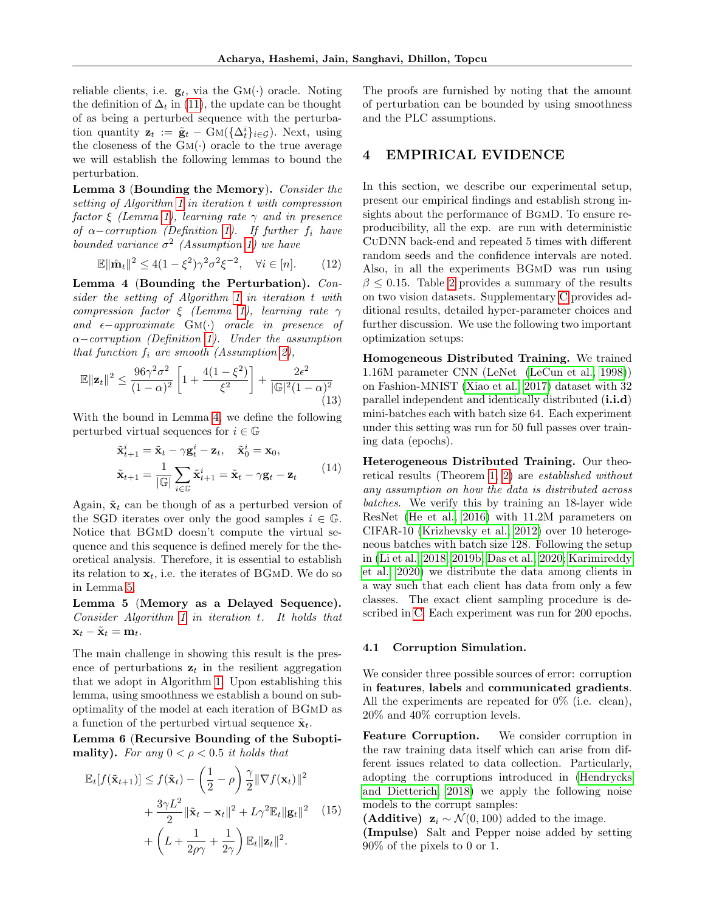reliable clients, i.e.  $\mathbf{g}_t$ , via the  $GM(\cdot)$  oracle. Noting the definition of  $\Delta_t$  in [\(11\)](#page-5-4), the update can be thought of as being a perturbed sequence with the perturbation quantity  $\mathbf{z}_t := \tilde{\mathbf{g}}_t - \bar{G}M(\{\Delta_t^i\}_{i \in \mathcal{G}})$ . Next, using the closeness of the  $GM(\cdot)$  oracle to the true average we will establish the following lemmas to bound the perturbation.

<span id="page-6-2"></span>Lemma 3 (Bounding the Memory). Consider the setting of Algorithm [1](#page-2-1) in iteration t with compression factor  $\xi$  (Lemma [1\)](#page-3-1), learning rate  $\gamma$  and in presence of  $\alpha$ -corruption (Definition [1\)](#page-0-1). If further f<sub>i</sub> have bounded variance  $\sigma^2$  (Assumption [1\)](#page-4-3) we have

<span id="page-6-3"></span>
$$
\mathbb{E} \|\hat{\mathbf{m}}_t\|^2 \le 4(1 - \xi^2)\gamma^2 \sigma^2 \xi^{-2}, \quad \forall i \in [n]. \tag{12}
$$

<span id="page-6-0"></span>Lemma 4 (Bounding the Perturbation). Consider the setting of Algorithm [1](#page-2-1) in iteration t with compression factor  $\xi$  (Lemma [1\)](#page-3-1), learning rate  $\gamma$ and  $\epsilon$ −approximate GM(·) oracle in presence of  $\alpha$ –corruption (Definition [1\)](#page-0-1). Under the assumption that function  $f_i$  are smooth (Assumption [2\)](#page-5-2),

$$
\mathbb{E} \|\mathbf{z}_t\|^2 \le \frac{96\gamma^2 \sigma^2}{(1-\alpha)^2} \left[1 + \frac{4(1-\xi^2)}{\xi^2}\right] + \frac{2\epsilon^2}{|\mathbb{G}|^2 (1-\alpha)^2} \tag{13}
$$

With the bound in Lemma [4,](#page-6-0) we define the following perturbed virtual sequences for  $i \in \mathbb{G}$ 

$$
\tilde{\mathbf{x}}_{t+1}^{i} = \tilde{\mathbf{x}}_{t} - \gamma \mathbf{g}_{t}^{i} - \mathbf{z}_{t}, \quad \tilde{\mathbf{x}}_{0}^{i} = \mathbf{x}_{0},
$$
\n
$$
\tilde{\mathbf{x}}_{t+1} = \frac{1}{|\mathbb{G}|} \sum_{i \in \mathbb{G}} \tilde{\mathbf{x}}_{t+1}^{i} = \tilde{\mathbf{x}}_{t} - \gamma \mathbf{g}_{t} - \mathbf{z}_{t}
$$
\n(14)

Again,  $\tilde{\mathbf{x}}_t$  can be though of as a perturbed version of the SGD iterates over only the good samples  $i \in \mathbb{G}$ . Notice that BGmD doesn't compute the virtual sequence and this sequence is defined merely for the theoretical analysis. Therefore, it is essential to establish its relation to  $\mathbf{x}_t$ , i.e. the iterates of BGMD. We do so in Lemma [5.](#page-6-1)

<span id="page-6-1"></span>Lemma 5 (Memory as a Delayed Sequence). Consider Algorithm [1](#page-2-1) in iteration t. It holds that  $\mathbf{x}_t - \tilde{\mathbf{x}}_t = \mathbf{m}_t.$ 

The main challenge in showing this result is the presence of perturbations  $z_t$  in the resilient aggregation that we adopt in Algorithm [1.](#page-2-1) Upon establishing this lemma, using smoothness we establish a bound on suboptimality of the model at each iteration of BGmD as a function of the perturbed virtual sequence  $\tilde{\mathbf{x}}_t$ .

<span id="page-6-4"></span>Lemma 6 (Recursive Bounding of the Suboptimality). For any  $0 < \rho < 0.5$  it holds that

$$
\mathbb{E}_{t}[f(\tilde{\mathbf{x}}_{t+1})] \leq f(\tilde{\mathbf{x}}_{t}) - \left(\frac{1}{2} - \rho\right) \frac{\gamma}{2} ||\nabla f(\mathbf{x}_{t})||^{2} + \frac{3\gamma L^{2}}{2} ||\tilde{\mathbf{x}}_{t} - \mathbf{x}_{t}||^{2} + L\gamma^{2} \mathbb{E}_{t} ||\mathbf{g}_{t}||^{2} \quad (15) + \left(L + \frac{1}{2\rho\gamma} + \frac{1}{2\gamma}\right) \mathbb{E}_{t} ||\mathbf{z}_{t}||^{2}.
$$

The proofs are furnished by noting that the amount of perturbation can be bounded by using smoothness and the PLC assumptions.

### 4 EMPIRICAL EVIDENCE

In this section, we describe our experimental setup, present our empirical findings and establish strong insights about the performance of BgmD. To ensure reproducibility, all the exp. are run with deterministic CuDNN back-end and repeated 5 times with different random seeds and the confidence intervals are noted. Also, in all the experiments BGmD was run using  $\beta \leq 0.15$ . Table [2](#page-7-2) provides a summary of the results on two vision datasets. Supplementary [C](#page-15-0) provides additional results, detailed hyper-parameter choices and further discussion. We use the following two important optimization setups:

Homogeneous Distributed Training. We trained 1.16M parameter CNN (LeNet [\(LeCun et al., 1998\)](#page-11-13)) on Fashion-MNIST [\(Xiao et al., 2017\)](#page-12-14) dataset with 32 parallel independent and identically distributed (i.i.d) mini-batches each with batch size 64. Each experiment under this setting was run for 50 full passes over training data (epochs).

Heterogeneous Distributed Training. Our theoretical results (Theorem [1,](#page-5-0) [2\)](#page-5-1) are established without any assumption on how the data is distributed across batches. We verify this by training an 18-layer wide ResNet [\(He et al., 2016\)](#page-10-12) with 11.2M parameters on CIFAR-10 [\(Krizhevsky et al., 2012\)](#page-10-13) over 10 heterogeneous batches with batch size 128. Following the setup in [\(Li et al., 2018,](#page-11-14) [2019b;](#page-11-15) [Das et al., 2020;](#page-10-14) [Karimireddy](#page-10-15) [et al., 2020\)](#page-10-15) we distribute the data among clients in a way such that each client has data from only a few classes. The exact client sampling procedure is described in [C.](#page-15-0) Each experiment was run for 200 epochs.

#### 4.1 Corruption Simulation.

We consider three possible sources of error: corruption in features, labels and communicated gradients. All the experiments are repeated for 0% (i.e. clean), 20% and 40% corruption levels.

Feature Corruption. We consider corruption in the raw training data itself which can arise from different issues related to data collection. Particularly, adopting the corruptions introduced in [\(Hendrycks](#page-10-16) [and Dietterich, 2018\)](#page-10-16) we apply the following noise models to the corrupt samples:

(Additive)  $\mathbf{z}_i \sim \mathcal{N}(0, 100)$  added to the image. (Impulse) Salt and Pepper noise added by setting 90% of the pixels to 0 or 1.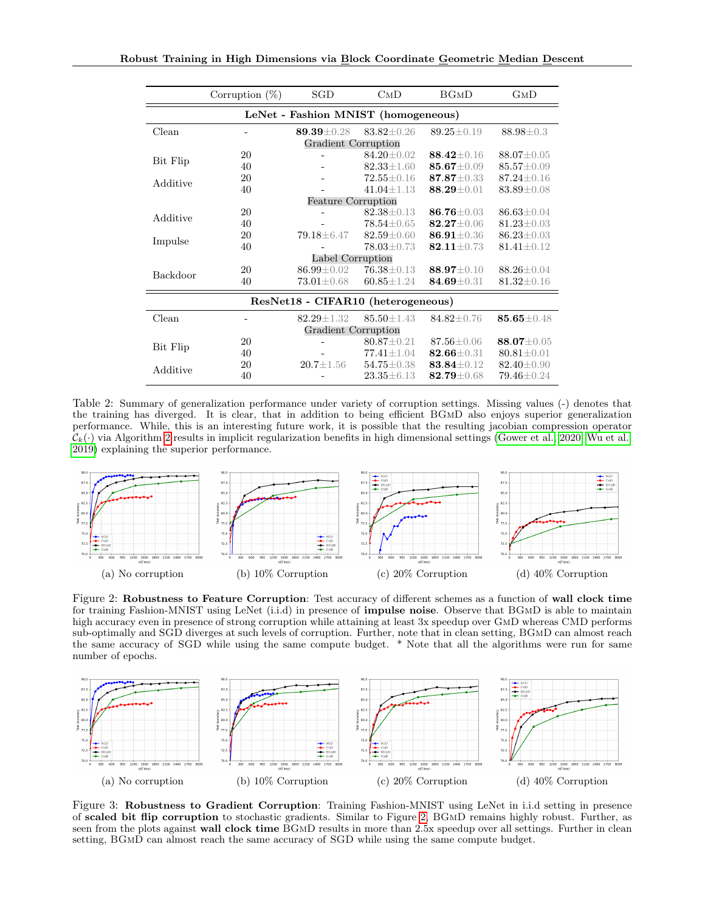<span id="page-7-2"></span>

|                                     | Corruption $(\%)$ | SGD                 | $_{\rm{CMD}}$    | BGMD             | $_{\rm{GMD}}$    |
|-------------------------------------|-------------------|---------------------|------------------|------------------|------------------|
| LeNet - Fashion MNIST (homogeneous) |                   |                     |                  |                  |                  |
| Clean                               |                   | 89.39±0.28          | $83.82 \pm 0.26$ | $89.25 \pm 0.19$ | $88.98 \pm 0.3$  |
|                                     |                   | Gradient Corruption |                  |                  |                  |
| Bit Flip                            | 20                |                     | $84.20 + 0.02$   | $88.42 + 0.16$   | $88.07 + 0.05$   |
|                                     | 40                |                     | $82.33 \pm 1.60$ | $85.67 \pm 0.09$ | $85.57 \pm 0.09$ |
| Additive                            | 20                |                     | $72.55 \pm 0.16$ | $87.87 \pm 0.33$ | $87.24 + 0.16$   |
|                                     | 40                |                     | $41.04 + 1.13$   | $88.29 \pm 0.01$ | $83.89 \pm 0.08$ |
| <b>Feature Corruption</b>           |                   |                     |                  |                  |                  |
| Additive                            | 20                |                     | $82.38 + 0.13$   | $86.76 + 0.03$   | $86.63 + 0.04$   |
|                                     | 40                |                     | $78.54 + 0.65$   | $82.27 \pm 0.06$ | $81.23 \pm 0.03$ |
| Impulse                             | 20                | 79.18 ± 6.47        | $82.59 \pm 0.60$ | $86.91 \pm 0.36$ | $86.23 \pm 0.03$ |
|                                     | 40                |                     | $78.03 \pm 0.73$ | $82.11 \pm 0.73$ | $81.41 \pm 0.12$ |
| Label Corruption                    |                   |                     |                  |                  |                  |
| Backdoor                            | 20                | $86.99 \pm 0.02$    | $76.38 \pm 0.13$ | $88.97 + 0.10$   | $88.26 \pm 0.04$ |
|                                     | 40                | $73.01 \pm 0.68$    | $60.85 \pm 1.24$ | $84.69 \pm 0.31$ | $81.32 \pm 0.16$ |
| ResNet18 - CIFAR10 (heterogeneous)  |                   |                     |                  |                  |                  |
| Clean                               |                   | $82.29 + 1.32$      | $85.50 \pm 1.43$ | $84.82 + 0.76$   | $85.65 \pm 0.48$ |
| Gradient Corruption                 |                   |                     |                  |                  |                  |
| Bit Flip                            | 20                |                     | $80.87 + 0.21$   | $87.56 \pm 0.06$ | $88.07 \pm 0.05$ |
|                                     | 40                |                     | $77.41 \pm 1.04$ | $82.66 + 0.31$   | $80.81 \pm 0.01$ |
| Additive                            | 20                | $20.7 + 1.56$       | $54.75 \pm 0.38$ | $83.84 + 0.12$   | $82.40 \pm 0.90$ |
|                                     | 40                |                     | $23.35 \pm 6.13$ | $82.79 \pm 0.68$ | $79.46 \pm 0.24$ |

Table 2: Summary of generalization performance under variety of corruption settings. Missing values (-) denotes that the training has diverged. It is clear, that in addition to being efficient BGmD also enjoys superior generalization performance. While, this is an interesting future work, it is possible that the resulting jacobian compression operator  $\mathcal{C}_k(\cdot)$  via Algorithm [2](#page-2-0) results in implicit regularization benefits in high dimensional settings [\(Gower et al., 2020;](#page-10-17) [Wu et al.,](#page-12-15) [2019\)](#page-12-15) explaining the superior performance.

<span id="page-7-0"></span>

Figure 2: Robustness to Feature Corruption: Test accuracy of different schemes as a function of wall clock time for training Fashion-MNIST using LeNet (i.i.d) in presence of **impulse noise**. Observe that BGMD is able to maintain high accuracy even in presence of strong corruption while attaining at least 3x speedup over GmD whereas CMD performs sub-optimally and SGD diverges at such levels of corruption. Further, note that in clean setting, BGmD can almost reach the same accuracy of SGD while using the same compute budget. \* Note that all the algorithms were run for same number of epochs.

<span id="page-7-1"></span>

Figure 3: Robustness to Gradient Corruption: Training Fashion-MNIST using LeNet in i.i.d setting in presence of scaled bit flip corruption to stochastic gradients. Similar to Figure [2,](#page-7-0) BGmD remains highly robust. Further, as seen from the plots against wall clock time BGMD results in more than 2.5x speedup over all settings. Further in clean setting, BGmD can almost reach the same accuracy of SGD while using the same compute budget.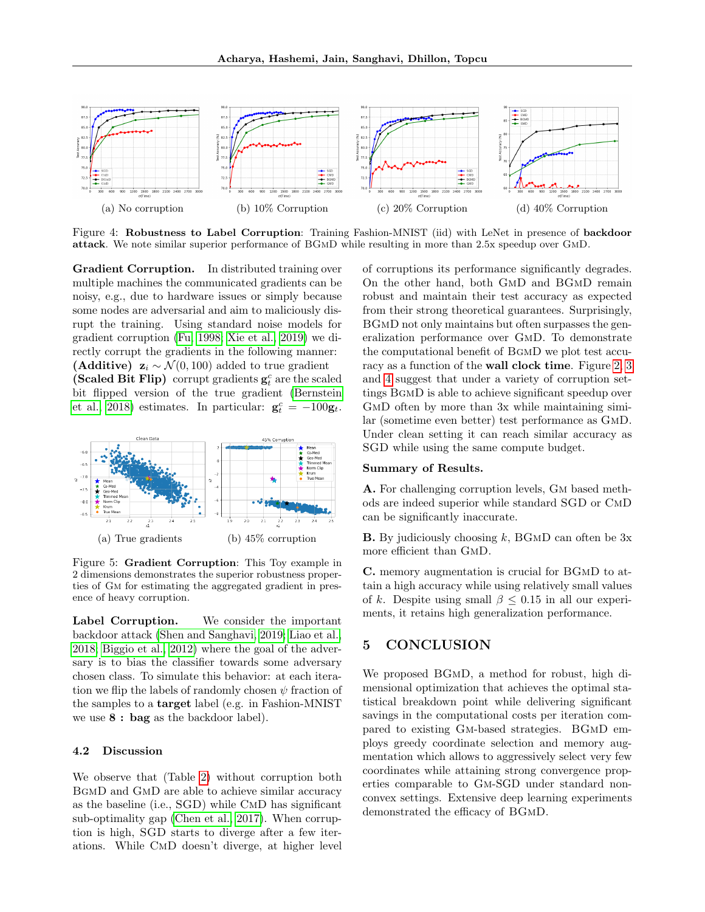<span id="page-8-1"></span>

Figure 4: Robustness to Label Corruption: Training Fashion-MNIST (iid) with LeNet in presence of backdoor attack. We note similar superior performance of BGmD while resulting in more than 2.5x speedup over GmD.

Gradient Corruption. In distributed training over multiple machines the communicated gradients can be noisy, e.g., due to hardware issues or simply because some nodes are adversarial and aim to maliciously disrupt the training. Using standard noise models for gradient corruption [\(Fu, 1998;](#page-10-18) [Xie et al., 2019\)](#page-12-1) we directly corrupt the gradients in the following manner: (Additive)  $\mathbf{z}_i \sim \mathcal{N}(0, 100)$  added to true gradient (Scaled Bit Flip) corrupt gradients  $\mathbf{g}_t^c$  are the scaled bit flipped version of the true gradient [\(Bernstein](#page-9-14) [et al., 2018\)](#page-9-14) estimates. In particular:  $\mathbf{g}_t^c = -100\mathbf{g}_t$ .

<span id="page-8-0"></span>

Figure 5: Gradient Corruption: This Toy example in 2 dimensions demonstrates the superior robustness properties of Gm for estimating the aggregated gradient in presence of heavy corruption.

Label Corruption. We consider the important backdoor attack [\(Shen and Sanghavi, 2019;](#page-11-16) [Liao et al.,](#page-11-17) [2018;](#page-11-17) [Biggio et al., 2012\)](#page-9-15) where the goal of the adversary is to bias the classifier towards some adversary chosen class. To simulate this behavior: at each iteration we flip the labels of randomly chosen  $\psi$  fraction of the samples to a target label (e.g. in Fashion-MNIST we use 8 : bag as the backdoor label).

#### 4.2 Discussion

We observe that (Table [2\)](#page-7-2) without corruption both BgmD and GmD are able to achieve similar accuracy as the baseline (i.e., SGD) while CmD has significant sub-optimality gap [\(Chen et al., 2017\)](#page-9-5). When corruption is high, SGD starts to diverge after a few iterations. While CmD doesn't diverge, at higher level of corruptions its performance significantly degrades. On the other hand, both GmD and BGmD remain robust and maintain their test accuracy as expected from their strong theoretical guarantees. Surprisingly, BGMD not only maintains but often surpasses the generalization performance over GmD. To demonstrate the computational benefit of BgmD we plot test accuracy as a function of the wall clock time. Figure [2,](#page-7-0) [3](#page-7-1) and [4](#page-8-1) suggest that under a variety of corruption settings BgmD is able to achieve significant speedup over GMD often by more than 3x while maintaining similar (sometime even better) test performance as GmD. Under clean setting it can reach similar accuracy as SGD while using the same compute budget.

### Summary of Results.

A. For challenging corruption levels, Gm based methods are indeed superior while standard SGD or CmD can be significantly inaccurate.

**B.** By judiciously choosing  $k$ , BGMD can often be  $3x$ more efficient than GmD.

C. memory augmentation is crucial for BGmD to attain a high accuracy while using relatively small values of k. Despite using small  $\beta \leq 0.15$  in all our experiments, it retains high generalization performance.

# 5 CONCLUSION

We proposed BGmD, a method for robust, high dimensional optimization that achieves the optimal statistical breakdown point while delivering significant savings in the computational costs per iteration compared to existing Gm-based strategies. BGmD employs greedy coordinate selection and memory augmentation which allows to aggressively select very few coordinates while attaining strong convergence properties comparable to Gm-SGD under standard nonconvex settings. Extensive deep learning experiments demonstrated the efficacy of BGmD.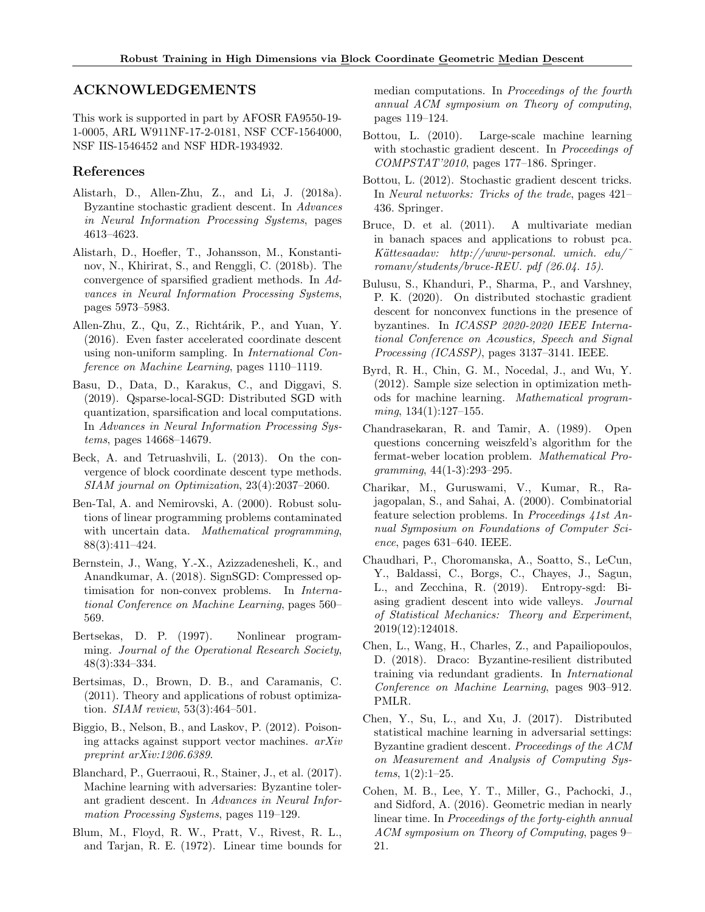# ACKNOWLEDGEMENTS

This work is supported in part by AFOSR FA9550-19- 1-0005, ARL W911NF-17-2-0181, NSF CCF-1564000, NSF IIS-1546452 and NSF HDR-1934932.

# References

- <span id="page-9-3"></span>Alistarh, D., Allen-Zhu, Z., and Li, J. (2018a). Byzantine stochastic gradient descent. In Advances in Neural Information Processing Systems, pages 4613–4623.
- <span id="page-9-12"></span>Alistarh, D., Hoefler, T., Johansson, M., Konstantinov, N., Khirirat, S., and Renggli, C. (2018b). The convergence of sparsified gradient methods. In Advances in Neural Information Processing Systems, pages 5973–5983.
- <span id="page-9-18"></span>Allen-Zhu, Z., Qu, Z., Richtárik, P., and Yuan, Y. (2016). Even faster accelerated coordinate descent using non-uniform sampling. In International Conference on Machine Learning, pages 1110–1119.
- <span id="page-9-22"></span>Basu, D., Data, D., Karakus, C., and Diggavi, S. (2019). Qsparse-local-SGD: Distributed SGD with quantization, sparsification and local computations. In Advances in Neural Information Processing Systems, pages 14668–14679.
- <span id="page-9-17"></span>Beck, A. and Tetruashvili, L. (2013). On the convergence of block coordinate descent type methods. SIAM journal on Optimization, 23(4):2037–2060.
- <span id="page-9-2"></span>Ben-Tal, A. and Nemirovski, A. (2000). Robust solutions of linear programming problems contaminated with uncertain data. *Mathematical programming*, 88(3):411–424.
- <span id="page-9-14"></span>Bernstein, J., Wang, Y.-X., Azizzadenesheli, K., and Anandkumar, A. (2018). SignSGD: Compressed optimisation for non-convex problems. In International Conference on Machine Learning, pages 560– 569.
- <span id="page-9-16"></span>Bertsekas, D. P. (1997). Nonlinear programming. Journal of the Operational Research Society, 48(3):334–334.
- <span id="page-9-1"></span>Bertsimas, D., Brown, D. B., and Caramanis, C. (2011). Theory and applications of robust optimization. SIAM review, 53(3):464–501.
- <span id="page-9-15"></span>Biggio, B., Nelson, B., and Laskov, P. (2012). Poisoning attacks against support vector machines. arXiv preprint arXiv:1206.6389.
- <span id="page-9-4"></span>Blanchard, P., Guerraoui, R., Stainer, J., et al. (2017). Machine learning with adversaries: Byzantine tolerant gradient descent. In Advances in Neural Information Processing Systems, pages 119–129.
- <span id="page-9-20"></span>Blum, M., Floyd, R. W., Pratt, V., Rivest, R. L., and Tarjan, R. E. (1972). Linear time bounds for

median computations. In Proceedings of the fourth annual ACM symposium on Theory of computing, pages 119–124.

- <span id="page-9-0"></span>Bottou, L. (2010). Large-scale machine learning with stochastic gradient descent. In *Proceedings of* COMPSTAT'2010, pages 177–186. Springer.
- <span id="page-9-21"></span>Bottou, L. (2012). Stochastic gradient descent tricks. In Neural networks: Tricks of the trade, pages 421– 436. Springer.
- <span id="page-9-19"></span>Bruce, D. et al. (2011). A multivariate median in banach spaces and applications to robust pca.  $Kättesa adav:$  http://www-personal. umich. edu/ romanv/students/bruce-REU. pdf (26.04. 15).
- <span id="page-9-9"></span>Bulusu, S., Khanduri, P., Sharma, P., and Varshney, P. K. (2020). On distributed stochastic gradient descent for nonconvex functions in the presence of byzantines. In ICASSP 2020-2020 IEEE International Conference on Acoustics, Speech and Signal Processing (ICASSP), pages 3137–3141. IEEE.
- <span id="page-9-13"></span>Byrd, R. H., Chin, G. M., Nocedal, J., and Wu, Y. (2012). Sample size selection in optimization methods for machine learning. Mathematical program $ming, 134(1):127-155.$
- <span id="page-9-6"></span>Chandrasekaran, R. and Tamir, A. (1989). Open questions concerning weiszfeld's algorithm for the fermat-weber location problem. Mathematical Pro $gramming, 44(1-3):293-295.$
- <span id="page-9-11"></span>Charikar, M., Guruswami, V., Kumar, R., Rajagopalan, S., and Sahai, A. (2000). Combinatorial feature selection problems. In Proceedings 41st Annual Symposium on Foundations of Computer Science, pages 631–640. IEEE.
- <span id="page-9-10"></span>Chaudhari, P., Choromanska, A., Soatto, S., LeCun, Y., Baldassi, C., Borgs, C., Chayes, J., Sagun, L., and Zecchina, R. (2019). Entropy-sgd: Biasing gradient descent into wide valleys. Journal of Statistical Mechanics: Theory and Experiment, 2019(12):124018.
- <span id="page-9-8"></span>Chen, L., Wang, H., Charles, Z., and Papailiopoulos, D. (2018). Draco: Byzantine-resilient distributed training via redundant gradients. In International Conference on Machine Learning, pages 903–912. PMLR.
- <span id="page-9-5"></span>Chen, Y., Su, L., and Xu, J. (2017). Distributed statistical machine learning in adversarial settings: Byzantine gradient descent. Proceedings of the ACM on Measurement and Analysis of Computing Sys $tems, 1(2):1-25.$
- <span id="page-9-7"></span>Cohen, M. B., Lee, Y. T., Miller, G., Pachocki, J., and Sidford, A. (2016). Geometric median in nearly linear time. In Proceedings of the forty-eighth annual ACM symposium on Theory of Computing, pages 9– 21.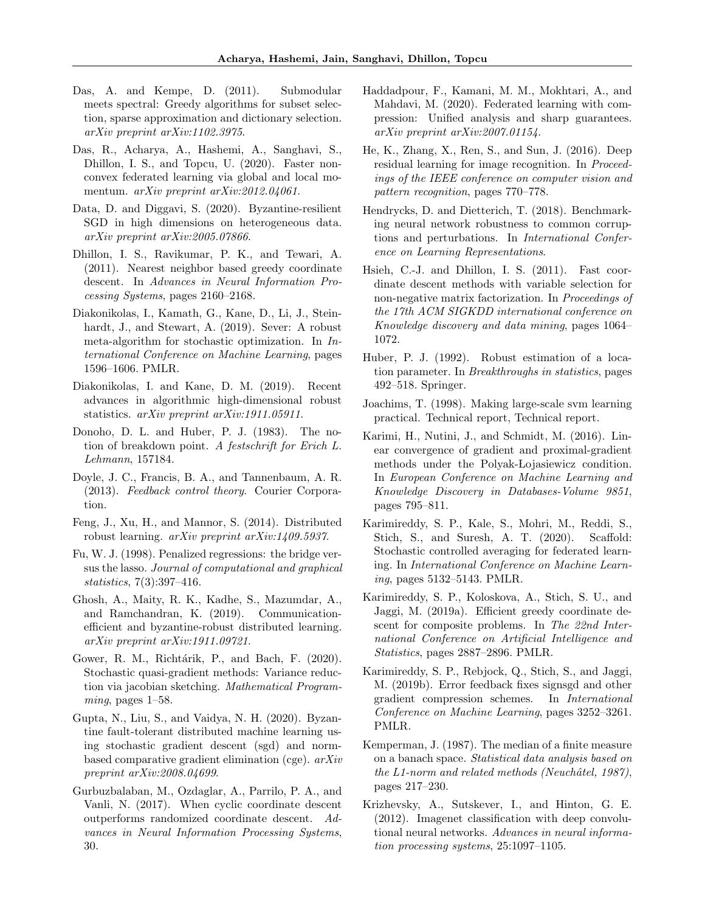- <span id="page-10-10"></span>Das, A. and Kempe, D. (2011). Submodular meets spectral: Greedy algorithms for subset selection, sparse approximation and dictionary selection. arXiv preprint arXiv:1102.3975.
- <span id="page-10-14"></span>Das, R., Acharya, A., Hashemi, A., Sanghavi, S., Dhillon, I. S., and Topcu, U. (2020). Faster nonconvex federated learning via global and local momentum. arXiv preprint arXiv:2012.04061.
- <span id="page-10-3"></span>Data, D. and Diggavi, S. (2020). Byzantine-resilient SGD in high dimensions on heterogeneous data. arXiv preprint arXiv:2005.07866.
- <span id="page-10-22"></span>Dhillon, I. S., Ravikumar, P. K., and Tewari, A. (2011). Nearest neighbor based greedy coordinate descent. In Advances in Neural Information Processing Systems, pages 2160–2168.
- <span id="page-10-1"></span>Diakonikolas, I., Kamath, G., Kane, D., Li, J., Steinhardt, J., and Stewart, A. (2019). Sever: A robust meta-algorithm for stochastic optimization. In International Conference on Machine Learning, pages 1596–1606. PMLR.
- <span id="page-10-0"></span>Diakonikolas, I. and Kane, D. M. (2019). Recent advances in algorithmic high-dimensional robust statistics. arXiv preprint arXiv:1911.05911.
- <span id="page-10-6"></span>Donoho, D. L. and Huber, P. J. (1983). The notion of breakdown point. A festschrift for Erich L. Lehmann, 157184.
- <span id="page-10-24"></span>Doyle, J. C., Francis, B. A., and Tannenbaum, A. R. (2013). Feedback control theory. Courier Corporation.
- <span id="page-10-9"></span>Feng, J., Xu, H., and Mannor, S. (2014). Distributed robust learning. arXiv preprint arXiv:1409.5937.
- <span id="page-10-18"></span>Fu, W. J. (1998). Penalized regressions: the bridge versus the lasso. Journal of computational and graphical statistics, 7(3):397–416.
- <span id="page-10-4"></span>Ghosh, A., Maity, R. K., Kadhe, S., Mazumdar, A., and Ramchandran, K. (2019). Communicationefficient and byzantine-robust distributed learning. arXiv preprint arXiv:1911.09721.
- <span id="page-10-17"></span>Gower, R. M., Richtárik, P., and Bach, F. (2020). Stochastic quasi-gradient methods: Variance reduction via jacobian sketching. Mathematical Programming, pages  $1-58$ .
- <span id="page-10-5"></span>Gupta, N., Liu, S., and Vaidya, N. H. (2020). Byzantine fault-tolerant distributed machine learning using stochastic gradient descent (sgd) and normbased comparative gradient elimination (cge). arXiv preprint arXiv:2008.04699.
- <span id="page-10-20"></span>Gurbuzbalaban, M., Ozdaglar, A., Parrilo, P. A., and Vanli, N. (2017). When cyclic coordinate descent outperforms randomized coordinate descent. Advances in Neural Information Processing Systems, 30.
- <span id="page-10-25"></span>Haddadpour, F., Kamani, M. M., Mokhtari, A., and Mahdavi, M. (2020). Federated learning with compression: Unified analysis and sharp guarantees. arXiv preprint arXiv:2007.01154.
- <span id="page-10-12"></span>He, K., Zhang, X., Ren, S., and Sun, J. (2016). Deep residual learning for image recognition. In Proceedings of the IEEE conference on computer vision and pattern recognition, pages 770–778.
- <span id="page-10-16"></span>Hendrycks, D. and Dietterich, T. (2018). Benchmarking neural network robustness to common corruptions and perturbations. In International Conference on Learning Representations.
- <span id="page-10-21"></span>Hsieh, C.-J. and Dhillon, I. S. (2011). Fast coordinate descent methods with variable selection for non-negative matrix factorization. In Proceedings of the 17th ACM SIGKDD international conference on Knowledge discovery and data mining, pages 1064– 1072.
- <span id="page-10-2"></span>Huber, P. J. (1992). Robust estimation of a location parameter. In Breakthroughs in statistics, pages 492–518. Springer.
- <span id="page-10-19"></span>Joachims, T. (1998). Making large-scale svm learning practical. Technical report, Technical report.
- <span id="page-10-11"></span>Karimi, H., Nutini, J., and Schmidt, M. (2016). Linear convergence of gradient and proximal-gradient methods under the Polyak-Lojasiewicz condition. In European Conference on Machine Learning and Knowledge Discovery in Databases-Volume 9851, pages 795–811.
- <span id="page-10-15"></span>Karimireddy, S. P., Kale, S., Mohri, M., Reddi, S., Stich, S., and Suresh, A. T. (2020). Scaffold: Stochastic controlled averaging for federated learning. In International Conference on Machine Learning, pages 5132–5143. PMLR.
- <span id="page-10-23"></span>Karimireddy, S. P., Koloskova, A., Stich, S. U., and Jaggi, M. (2019a). Efficient greedy coordinate descent for composite problems. In The 22nd International Conference on Artificial Intelligence and Statistics, pages 2887–2896. PMLR.
- <span id="page-10-8"></span>Karimireddy, S. P., Rebjock, Q., Stich, S., and Jaggi, M. (2019b). Error feedback fixes signsgd and other gradient compression schemes. In International Conference on Machine Learning, pages 3252–3261. PMLR.
- <span id="page-10-7"></span>Kemperman, J. (1987). The median of a finite measure on a banach space. Statistical data analysis based on the  $L1$ -norm and related methods (Neuchâtel, 1987), pages 217–230.
- <span id="page-10-13"></span>Krizhevsky, A., Sutskever, I., and Hinton, G. E. (2012). Imagenet classification with deep convolutional neural networks. Advances in neural information processing systems, 25:1097–1105.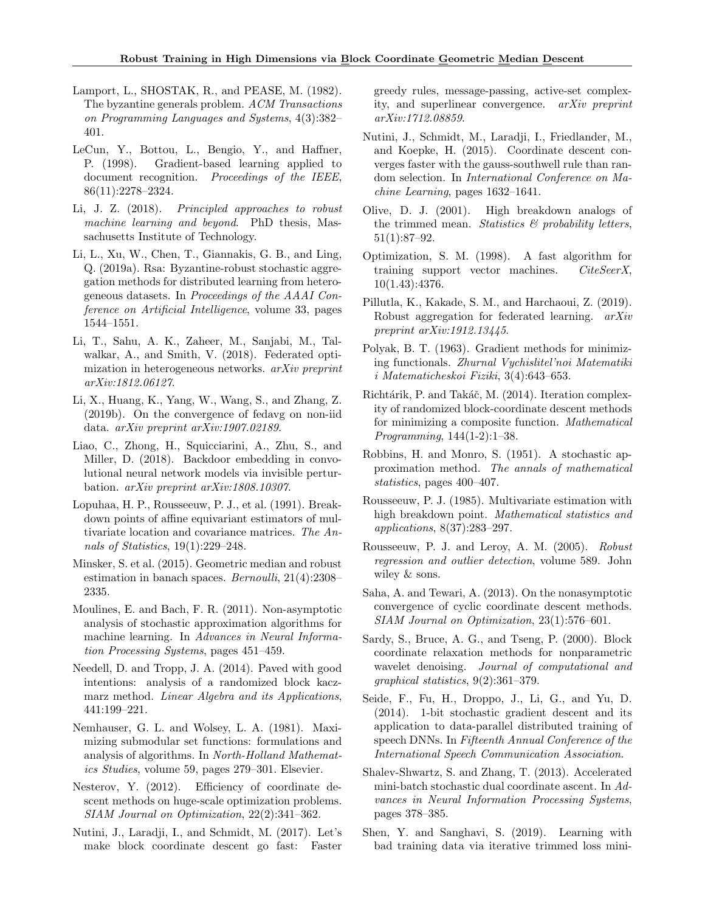- <span id="page-11-3"></span>Lamport, L., SHOSTAK, R., and PEASE, M. (1982). The byzantine generals problem. ACM Transactions on Programming Languages and Systems, 4(3):382– 401.
- <span id="page-11-13"></span>LeCun, Y., Bottou, L., Bengio, Y., and Haffner, P. (1998). Gradient-based learning applied to document recognition. Proceedings of the IEEE, 86(11):2278–2324.
- <span id="page-11-2"></span>Li, J. Z. (2018). Principled approaches to robust machine learning and beyond. PhD thesis, Massachusetts Institute of Technology.
- <span id="page-11-27"></span>Li, L., Xu, W., Chen, T., Giannakis, G. B., and Ling, Q. (2019a). Rsa: Byzantine-robust stochastic aggregation methods for distributed learning from heterogeneous datasets. In Proceedings of the AAAI Conference on Artificial Intelligence, volume 33, pages 1544–1551.
- <span id="page-11-14"></span>Li, T., Sahu, A. K., Zaheer, M., Sanjabi, M., Talwalkar, A., and Smith, V. (2018). Federated optimization in heterogeneous networks. arXiv preprint arXiv:1812.06127.
- <span id="page-11-15"></span>Li, X., Huang, K., Yang, W., Wang, S., and Zhang, Z. (2019b). On the convergence of fedavg on non-iid data. arXiv preprint arXiv:1907.02189.
- <span id="page-11-17"></span>Liao, C., Zhong, H., Squicciarini, A., Zhu, S., and Miller, D. (2018). Backdoor embedding in convolutional neural network models via invisible perturbation. arXiv preprint arXiv:1808.10307.
- <span id="page-11-4"></span>Lopuhaa, H. P., Rousseeuw, P. J., et al. (1991). Breakdown points of affine equivariant estimators of multivariate location and covariance matrices. The Annals of Statistics, 19(1):229–248.
- <span id="page-11-6"></span>Minsker, S. et al. (2015). Geometric median and robust estimation in banach spaces. Bernoulli, 21(4):2308– 2335.
- <span id="page-11-1"></span>Moulines, E. and Bach, F. R. (2011). Non-asymptotic analysis of stochastic approximation algorithms for machine learning. In Advances in Neural Information Processing Systems, pages 451–459.
- <span id="page-11-21"></span>Needell, D. and Tropp, J. A. (2014). Paved with good intentions: analysis of a randomized block kaczmarz method. Linear Algebra and its Applications, 441:199–221.
- <span id="page-11-11"></span>Nemhauser, G. L. and Wolsey, L. A. (1981). Maximizing submodular set functions: formulations and analysis of algorithms. In North-Holland Mathematics Studies, volume 59, pages 279–301. Elsevier.
- <span id="page-11-8"></span>Nesterov, Y. (2012). Efficiency of coordinate descent methods on huge-scale optimization problems. SIAM Journal on Optimization, 22(2):341–362.
- <span id="page-11-24"></span>Nutini, J., Laradji, I., and Schmidt, M. (2017). Let's make block coordinate descent go fast: Faster

greedy rules, message-passing, active-set complexity, and superlinear convergence. arXiv preprint arXiv:1712.08859.

- <span id="page-11-9"></span>Nutini, J., Schmidt, M., Laradji, I., Friedlander, M., and Koepke, H. (2015). Coordinate descent converges faster with the gauss-southwell rule than random selection. In International Conference on Machine Learning, pages 1632–1641.
- <span id="page-11-26"></span>Olive, D. J. (2001). High breakdown analogs of the trimmed mean. Statistics  $\mathcal{B}$  probability letters, 51(1):87–92.
- <span id="page-11-19"></span>Optimization, S. M. (1998). A fast algorithm for training support vector machines. *CiteSeerX*, 10(1.43):4376.
- <span id="page-11-7"></span>Pillutla, K., Kakade, S. M., and Harchaoui, Z. (2019). Robust aggregation for federated learning. arXiv preprint arXiv:1912.13445.
- <span id="page-11-12"></span>Polyak, B. T. (1963). Gradient methods for minimizing functionals. Zhurnal Vychislitel'noi Matematiki i Matematicheskoi Fiziki, 3(4):643–653.
- <span id="page-11-20"></span>Richtárik, P. and Takáč, M. (2014). Iteration complexity of randomized block-coordinate descent methods for minimizing a composite function. Mathematical Programming, 144(1-2):1–38.
- <span id="page-11-0"></span>Robbins, H. and Monro, S. (1951). A stochastic approximation method. The annals of mathematical statistics, pages 400–407.
- <span id="page-11-25"></span>Rousseeuw, P. J. (1985). Multivariate estimation with high breakdown point. Mathematical statistics and applications, 8(37):283–297.
- <span id="page-11-5"></span>Rousseeuw, P. J. and Leroy, A. M. (2005). Robust regression and outlier detection, volume 589. John wiley & sons.
- <span id="page-11-23"></span>Saha, A. and Tewari, A. (2013). On the nonasymptotic convergence of cyclic coordinate descent methods. SIAM Journal on Optimization, 23(1):576–601.
- <span id="page-11-18"></span>Sardy, S., Bruce, A. G., and Tseng, P. (2000). Block coordinate relaxation methods for nonparametric wavelet denoising. Journal of computational and graphical statistics, 9(2):361–379.
- <span id="page-11-10"></span>Seide, F., Fu, H., Droppo, J., Li, G., and Yu, D. (2014). 1-bit stochastic gradient descent and its application to data-parallel distributed training of speech DNNs. In Fifteenth Annual Conference of the International Speech Communication Association.
- <span id="page-11-22"></span>Shalev-Shwartz, S. and Zhang, T. (2013). Accelerated mini-batch stochastic dual coordinate ascent. In Advances in Neural Information Processing Systems, pages 378–385.
- <span id="page-11-16"></span>Shen, Y. and Sanghavi, S. (2019). Learning with bad training data via iterative trimmed loss mini-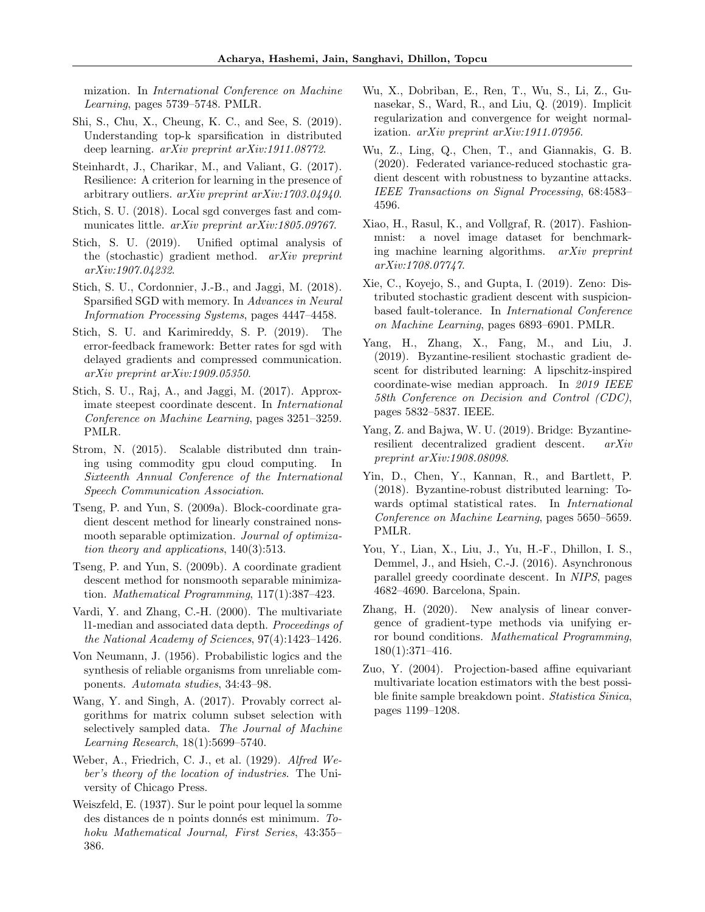mization. In International Conference on Machine Learning, pages 5739–5748. PMLR.

- <span id="page-12-8"></span>Shi, S., Chu, X., Cheung, K. C., and See, S. (2019). Understanding top-k sparsification in distributed deep learning. arXiv preprint arXiv:1911.08772.
- <span id="page-12-4"></span>Steinhardt, J., Charikar, M., and Valiant, G. (2017). Resilience: A criterion for learning in the presence of arbitrary outliers. arXiv preprint arXiv:1703.04940.
- <span id="page-12-13"></span>Stich, S. U. (2018). Local sgd converges fast and communicates little. *arXiv preprint arXiv:1805.09767*.
- <span id="page-12-23"></span>Stich, S. U. (2019). Unified optimal analysis of the (stochastic) gradient method. arXiv preprint arXiv:1907.04232.
- <span id="page-12-12"></span>Stich, S. U., Cordonnier, J.-B., and Jaggi, M. (2018). Sparsified SGD with memory. In Advances in Neural Information Processing Systems, pages 4447–4458.
- <span id="page-12-9"></span>Stich, S. U. and Karimireddy, S. P. (2019). The error-feedback framework: Better rates for sgd with delayed gradients and compressed communication. arXiv preprint arXiv:1909.05350.
- <span id="page-12-18"></span>Stich, S. U., Raj, A., and Jaggi, M. (2017). Approximate steepest coordinate descent. In International Conference on Machine Learning, pages 3251–3259. PMLR.
- <span id="page-12-20"></span>Strom, N. (2015). Scalable distributed dnn training using commodity gpu cloud computing. In Sixteenth Annual Conference of the International Speech Communication Association.
- <span id="page-12-16"></span>Tseng, P. and Yun, S. (2009a). Block-coordinate gradient descent method for linearly constrained nonsmooth separable optimization. Journal of optimization theory and applications, 140(3):513.
- <span id="page-12-17"></span>Tseng, P. and Yun, S. (2009b). A coordinate gradient descent method for nonsmooth separable minimization. Mathematical Programming, 117(1):387–423.
- <span id="page-12-6"></span>Vardi, Y. and Zhang, C.-H. (2000). The multivariate l1-median and associated data depth. Proceedings of the National Academy of Sciences, 97(4):1423–1426.
- <span id="page-12-11"></span>Von Neumann, J. (1956). Probabilistic logics and the synthesis of reliable organisms from unreliable components. Automata studies, 34:43–98.
- <span id="page-12-22"></span>Wang, Y. and Singh, A. (2017). Provably correct algorithms for matrix column subset selection with selectively sampled data. The Journal of Machine Learning Research, 18(1):5699–5740.
- <span id="page-12-5"></span>Weber, A., Friedrich, C. J., et al. (1929). Alfred Weber's theory of the location of industries. The University of Chicago Press.
- <span id="page-12-7"></span>Weiszfeld, E. (1937). Sur le point pour lequel la somme des distances de n points donnés est minimum. Tohoku Mathematical Journal, First Series, 43:355– 386.
- <span id="page-12-15"></span>Wu, X., Dobriban, E., Ren, T., Wu, S., Li, Z., Gunasekar, S., Ward, R., and Liu, Q. (2019). Implicit regularization and convergence for weight normalization. arXiv preprint arXiv:1911.07956.
- <span id="page-12-0"></span>Wu, Z., Ling, Q., Chen, T., and Giannakis, G. B. (2020). Federated variance-reduced stochastic gradient descent with robustness to byzantine attacks. IEEE Transactions on Signal Processing, 68:4583– 4596.
- <span id="page-12-14"></span>Xiao, H., Rasul, K., and Vollgraf, R. (2017). Fashionmnist: a novel image dataset for benchmarking machine learning algorithms. arXiv preprint arXiv:1708.07747.
- <span id="page-12-1"></span>Xie, C., Koyejo, S., and Gupta, I. (2019). Zeno: Distributed stochastic gradient descent with suspicionbased fault-tolerance. In International Conference on Machine Learning, pages 6893–6901. PMLR.
- <span id="page-12-2"></span>Yang, H., Zhang, X., Fang, M., and Liu, J. (2019). Byzantine-resilient stochastic gradient descent for distributed learning: A lipschitz-inspired coordinate-wise median approach. In 2019 IEEE 58th Conference on Decision and Control (CDC), pages 5832–5837. IEEE.
- <span id="page-12-10"></span>Yang, Z. and Bajwa, W. U. (2019). Bridge: Byzantineresilient decentralized gradient descent. arXiv preprint arXiv:1908.08098.
- <span id="page-12-3"></span>Yin, D., Chen, Y., Kannan, R., and Bartlett, P. (2018). Byzantine-robust distributed learning: Towards optimal statistical rates. In International Conference on Machine Learning, pages 5650–5659. PMLR.
- <span id="page-12-19"></span>You, Y., Lian, X., Liu, J., Yu, H.-F., Dhillon, I. S., Demmel, J., and Hsieh, C.-J. (2016). Asynchronous parallel greedy coordinate descent. In NIPS, pages 4682–4690. Barcelona, Spain.
- <span id="page-12-24"></span>Zhang, H. (2020). New analysis of linear convergence of gradient-type methods via unifying error bound conditions. Mathematical Programming, 180(1):371–416.
- <span id="page-12-21"></span>Zuo, Y. (2004). Projection-based affine equivariant multivariate location estimators with the best possible finite sample breakdown point. Statistica Sinica, pages 1199–1208.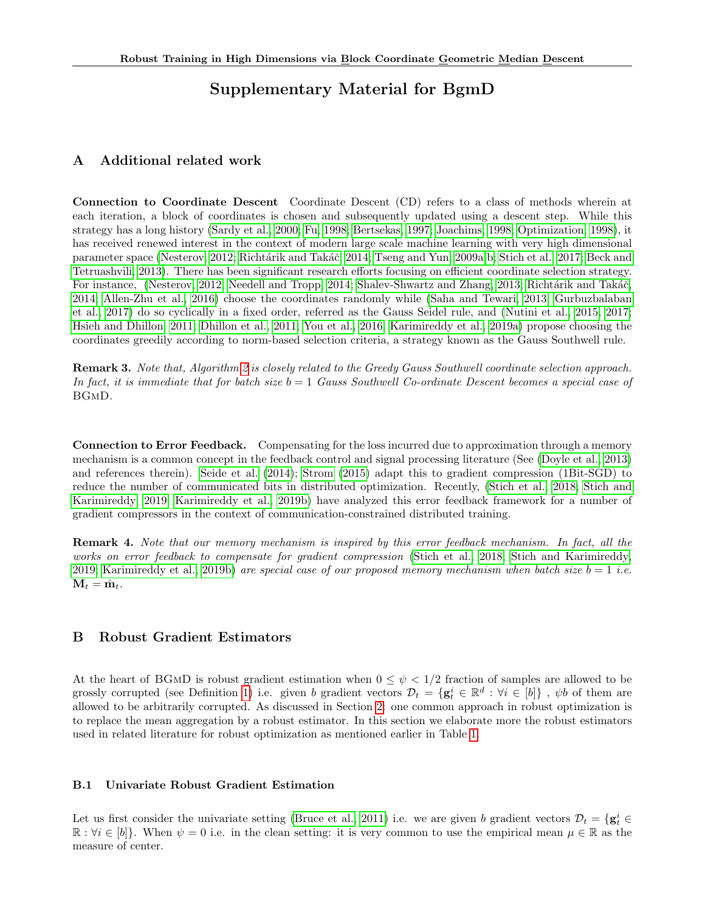# Supplementary Material for BgmD

# <span id="page-13-1"></span>A Additional related work

Connection to Coordinate Descent Coordinate Descent (CD) refers to a class of methods wherein at each iteration, a block of coordinates is chosen and subsequently updated using a descent step. While this strategy has a long history [\(Sardy et al., 2000;](#page-11-18) [Fu, 1998;](#page-10-18) [Bertsekas, 1997;](#page-9-16) [Joachims, 1998;](#page-10-19) [Optimization, 1998\)](#page-11-19), it has received renewed interest in the context of modern large scale machine learning with very high dimensional parameter space [\(Nesterov, 2012;](#page-11-8) Richtárik and Takáč, 2014; [Tseng and Yun, 2009a,](#page-12-16)[b;](#page-12-17) [Stich et al., 2017;](#page-12-18) [Beck and](#page-9-17) [Tetruashvili, 2013\)](#page-9-17). There has been significant research efforts focusing on efficient coordinate selection strategy. For instance, [\(Nesterov, 2012;](#page-11-8) [Needell and Tropp, 2014;](#page-11-21) [Shalev-Shwartz and Zhang, 2013;](#page-11-22) Richtárik and Takáč, [2014;](#page-11-20) [Allen-Zhu et al., 2016\)](#page-9-18) choose the coordinates randomly while [\(Saha and Tewari, 2013;](#page-11-23) [Gurbuzbalaban](#page-10-20) [et al., 2017\)](#page-10-20) do so cyclically in a fixed order, referred as the Gauss Seidel rule, and [\(Nutini et al., 2015,](#page-11-9) [2017;](#page-11-24) [Hsieh and Dhillon, 2011;](#page-10-21) [Dhillon et al., 2011;](#page-10-22) [You et al., 2016;](#page-12-19) [Karimireddy et al., 2019a\)](#page-10-23) propose choosing the coordinates greedily according to norm-based selection criteria, a strategy known as the Gauss Southwell rule.

Remark 3. Note that, Algorithm [2](#page-2-0) is closely related to the Greedy Gauss Southwell coordinate selection approach. In fact, it is immediate that for batch size  $b = 1$  Gauss Southwell Co-ordinate Descent becomes a special case of BGmD.

Connection to Error Feedback. Compensating for the loss incurred due to approximation through a memory mechanism is a common concept in the feedback control and signal processing literature (See [\(Doyle et al., 2013\)](#page-10-24) and references therein). [Seide et al.](#page-11-10) [\(2014\)](#page-11-10); [Strom](#page-12-20) [\(2015\)](#page-12-20) adapt this to gradient compression (1Bit-SGD) to reduce the number of communicated bits in distributed optimization. Recently, [\(Stich et al., 2018;](#page-12-12) [Stich and](#page-12-9) [Karimireddy, 2019;](#page-12-9) [Karimireddy et al., 2019b\)](#page-10-8) have analyzed this error feedback framework for a number of gradient compressors in the context of communication-constrained distributed training.

Remark 4. Note that our memory mechanism is inspired by this error feedback mechanism. In fact, all the works on error feedback to compensate for gradient compression [\(Stich et al., 2018;](#page-12-12) [Stich and Karimireddy,](#page-12-9) [2019;](#page-12-9) [Karimireddy et al., 2019b\)](#page-10-8) are special case of our proposed memory mechanism when batch size  $b = 1$  i.e.  $\mathbf{M}_t = \hat{\mathbf{m}}_t.$ 

# <span id="page-13-0"></span>B Robust Gradient Estimators

At the heart of BGMD is robust gradient estimation when  $0 \leq \psi < 1/2$  fraction of samples are allowed to be grossly corrupted (see Definition [1\)](#page-0-1) i.e. given b gradient vectors  $\mathcal{D}_t = \{ \mathbf{g}_t^i \in \mathbb{R}^d : \forall i \in [b] \}$ ,  $\psi b$  of them are allowed to be arbitrarily corrupted. As discussed in Section [2:](#page-2-3) one common approach in robust optimization is to replace the mean aggregation by a robust estimator. In this section we elaborate more the robust estimators used in related literature for robust optimization as mentioned earlier in Table [1.](#page-1-2)

## B.1 Univariate Robust Gradient Estimation

Let us first consider the univariate setting [\(Bruce et al., 2011\)](#page-9-19) i.e. we are given b gradient vectors  $\mathcal{D}_t = \{ \mathbf{g}_t^i \in$  $\mathbb{R}: \forall i \in [b]$ . When  $\psi = 0$  i.e. in the clean setting: it is very common to use the empirical mean  $\mu \in \mathbb{R}$  as the measure of center.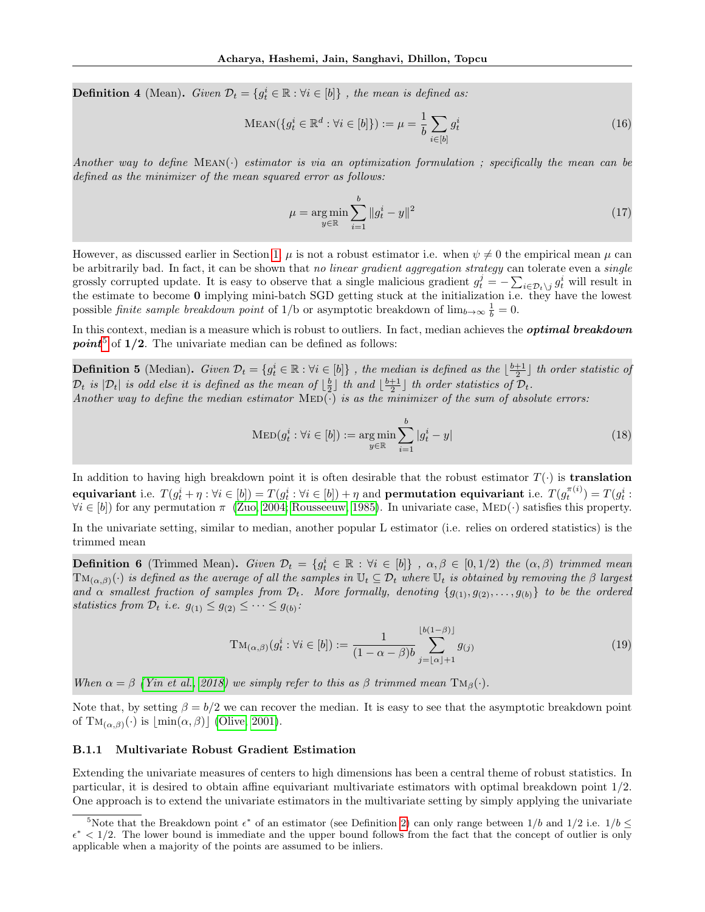**Definition 4** (Mean). Given  $\mathcal{D}_t = \{g_t^i \in \mathbb{R} : \forall i \in [b]\}$ , the mean is defined as:

$$
\text{MEAN}(\{g_t^i \in \mathbb{R}^d : \forall i \in [b]\}) := \mu = \frac{1}{b} \sum_{i \in [b]} g_t^i \tag{16}
$$

Another way to define  $MEAN(\cdot)$  estimator is via an optimization formulation; specifically the mean can be defined as the minimizer of the mean squared error as follows:

$$
\mu = \underset{y \in \mathbb{R}}{\arg \min} \sum_{i=1}^{b} \|g_t^i - y\|^2 \tag{17}
$$

However, as discussed earlier in Section [1,](#page-0-3)  $\mu$  is not a robust estimator i.e. when  $\psi \neq 0$  the empirical mean  $\mu$  can be arbitrarily bad. In fact, it can be shown that no linear gradient aggregation strategy can tolerate even a single grossly corrupted update. It is easy to observe that a single malicious gradient  $g_t^j = -\sum_{i \in \mathcal{D}_t \setminus j} g_t^i$  will result in the estimate to become 0 implying mini-batch SGD getting stuck at the initialization i.e. they have the lowest possible *finite sample breakdown point* of 1/b or asymptotic breakdown of  $\lim_{b\to\infty} \frac{1}{b} = 0$ .

In this context, median is a measure which is robust to outliers. In fact, median achieves the **optimal breakdown point**<sup>[5](#page-14-0)</sup> of  $1/2$ . The univariate median can be defined as follows:

<span id="page-14-1"></span>**Definition 5** (Median). Given  $\mathcal{D}_t = \{g_t^i \in \mathbb{R} : \forall i \in [b]\}$ , the median is defined as the  $\lfloor \frac{b+1}{2} \rfloor$  th order statistic of  $\mathcal{D}_t$  is  $|\mathcal{D}_t|$  is odd else it is defined as the mean of  $\lfloor \frac{b}{2} \rfloor$  th and  $\lfloor \frac{b+1}{2} \rfloor$  th order statistics of  $\mathcal{D}_t$ . Another way to define the median estimator  $\text{MED}(\cdot)$  is as the minimizer of the sum of absolute errors:

$$
\text{MED}(g_t^i : \forall i \in [b]) := \underset{y \in \mathbb{R}}{\text{arg min}} \sum_{i=1}^b |g_t^i - y|
$$
\n(18)

In addition to having high breakdown point it is often desirable that the robust estimator  $T(\cdot)$  is **translation**  ${\bf equivariant} \ {\rm i.e.} \ \ T(g_t^i + \eta : \forall i \in [b]) = T(g_t^i : \forall i \in [b]) + \eta \ {\rm and \ \ {\bf permutation \ \ equivalent \ \rm i.e.} \ \ T(g_t^{\pi(i)}) = T(g_t^i : \forall i \in [b])$  $\forall i \in [b]$  for any permutation  $\pi$  [\(Zuo, 2004;](#page-12-21) [Rousseeuw, 1985\)](#page-11-25). In univariate case, MED(·) satisfies this property.

In the univariate setting, similar to median, another popular L estimator (i.e. relies on ordered statistics) is the trimmed mean

<span id="page-14-2"></span>**Definition 6** (Trimmed Mean). Given  $\mathcal{D}_t = \{g_t^i \in \mathbb{R} : \forall i \in [b]\}$ ,  $\alpha, \beta \in [0, 1/2)$  the  $(\alpha, \beta)$  trimmed mean  $TM_{(\alpha,\beta)}(\cdot)$  is defined as the average of all the samples in  $\mathbb{U}_t \subseteq \mathcal{D}_t$  where  $\mathbb{U}_t$  is obtained by removing the  $\beta$  largest and  $\alpha$  smallest fraction of samples from  $\mathcal{D}_t$ . More formally, denoting  $\{g_{(1)}, g_{(2)}, \ldots, g_{(b)}\}$  to be the ordered statistics from  $\mathcal{D}_t$  i.e.  $g_{(1)} \leq g_{(2)} \leq \cdots \leq g_{(b)}$ :

$$
TM_{(\alpha,\beta)}(g_t^i : \forall i \in [b]) := \frac{1}{(1 - \alpha - \beta)b} \sum_{j = \lfloor \alpha \rfloor + 1}^{\lfloor b(1 - \beta) \rfloor} g_{(j)}
$$
(19)

When  $\alpha = \beta$  [\(Yin et al., 2018\)](#page-12-3) we simply refer to this as  $\beta$  trimmed mean  $T M_{\beta}(\cdot)$ .

Note that, by setting  $\beta = b/2$  we can recover the median. It is easy to see that the asymptotic breakdown point of  $\mathrm{TM}_{(\alpha,\beta)}(\cdot)$  is  $\lfloor \min(\alpha,\beta) \rfloor$  [\(Olive, 2001\)](#page-11-26).

#### B.1.1 Multivariate Robust Gradient Estimation

Extending the univariate measures of centers to high dimensions has been a central theme of robust statistics. In particular, it is desired to obtain affine equivariant multivariate estimators with optimal breakdown point 1/2. One approach is to extend the univariate estimators in the multivariate setting by simply applying the univariate

<span id="page-14-0"></span><sup>&</sup>lt;sup>5</sup>Note that the Breakdown point  $\epsilon^*$  of an estimator (see Definition [2\)](#page-1-3) can only range between  $1/b$  and  $1/2$  i.e.  $1/b \leq$  $\epsilon^*$  < 1/2. The lower bound is immediate and the upper bound follows from the fact that the concept of outlier is only applicable when a majority of the points are assumed to be inliers.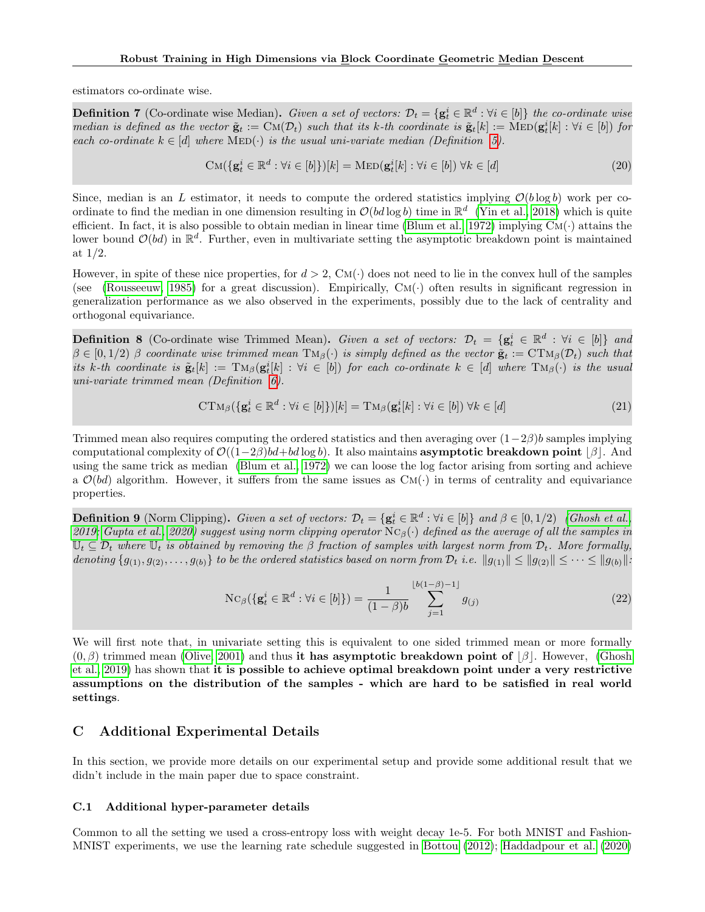estimators co-ordinate wise.

**Definition 7** (Co-ordinate wise Median). Given a set of vectors:  $\mathcal{D}_t = \{ \mathbf{g}_t^i \in \mathbb{R}^d : \forall i \in [b] \}$  the co-ordinate wise median is defined as the vector  $\tilde{\mathbf{g}}_t := \text{CM}(\mathcal{D}_t)$  such that its k-th coordinate is  $\tilde{\mathbf{g}}_t[k] := \text{MED}(\mathbf{g}_t^i[k] : \forall i \in [b])$  for each co-ordinate  $k \in [d]$  where  $\text{MED}(\cdot)$  is the usual uni-variate median (Definition [5\)](#page-14-1).

$$
CM({\mathbf{g}}_t^i \in \mathbb{R}^d : \forall i \in [b])[k] = \text{MED}({\mathbf{g}}_t^i[k] : \forall i \in [b]) \,\forall k \in [d]
$$
\n(20)

Since, median is an L estimator, it needs to compute the ordered statistics implying  $\mathcal{O}(b \log b)$  work per coordinate to find the median in one dimension resulting in  $\mathcal{O}(bd \log b)$  time in  $\mathbb{R}^d$  [\(Yin et al., 2018\)](#page-12-3) which is quite efficient. In fact, it is also possible to obtain median in linear time [\(Blum et al., 1972\)](#page-9-20) implying  $CM(\cdot)$  attains the lower bound  $\mathcal{O}(bd)$  in  $\mathbb{R}^d$ . Further, even in multivariate setting the asymptotic breakdown point is maintained at 1/2.

However, in spite of these nice properties, for  $d > 2$ , CM( $\cdot$ ) does not need to lie in the convex hull of the samples (see [\(Rousseeuw, 1985\)](#page-11-25) for a great discussion). Empirically,  $CM(\cdot)$  often results in significant regression in generalization performance as we also observed in the experiments, possibly due to the lack of centrality and orthogonal equivariance.

**Definition 8** (Co-ordinate wise Trimmed Mean). Given a set of vectors:  $\mathcal{D}_t = {\mathbf{g}_t^i \in \mathbb{R}^d : \forall i \in [b]}$  and  $\beta \in [0, 1/2)$  β coordinate wise trimmed mean  $T M_{\beta}(\cdot)$  is simply defined as the vector  $\tilde{\mathbf{g}}_t := \mathrm{CT} M_{\beta}(\mathcal{D}_t)$  such that its k-th coordinate is  $\tilde{\mathbf{g}}_t[k] := \text{TM}_{\beta}(\mathbf{g}_t^i[k] : \forall i \in [b])$  for each co-ordinate  $k \in [d]$  where  $\text{TM}_{\beta}(\cdot)$  is the usual uni-variate trimmed mean (Definition [6\)](#page-14-2).

$$
CTM_{\beta}(\{\mathbf{g}_t^i \in \mathbb{R}^d : \forall i \in [b]\}|k] = TM_{\beta}(\mathbf{g}_t^i[k] : \forall i \in [b]) \ \forall k \in [d]
$$
\n
$$
(21)
$$

Trimmed mean also requires computing the ordered statistics and then averaging over  $(1-2\beta)b$  samples implying computational complexity of  $\mathcal{O}((1-2\beta)bd+bd \log b)$ . It also maintains **asymptotic breakdown point**  $\beta$ . And using the same trick as median [\(Blum et al., 1972\)](#page-9-20) we can loose the log factor arising from sorting and achieve a  $\mathcal{O}(bd)$  algorithm. However, it suffers from the same issues as  $CM(\cdot)$  in terms of centrality and equivariance properties.

**Definition 9** (Norm Clipping). Given a set of vectors:  $\mathcal{D}_t = {\mathbf{g}_t^i \in \mathbb{R}^d : \forall i \in [b]}$  and  $\beta \in [0, 1/2)$  [\(Ghosh et al.,](#page-10-4) [2019;](#page-10-4) [Gupta et al., 2020\)](#page-10-5) suggest using norm clipping operator  $Nc_\beta(\cdot)$  defined as the average of all the samples in  $\mathbb{U}_t \subseteq \mathcal{D}_t$  where  $\mathbb{U}_t$  is obtained by removing the  $\beta$  fraction of samples with largest norm from  $\mathcal{D}_t$ . More formally, denoting  $\{g_{(1)}, g_{(2)}, \ldots, g_{(b)}\}$  to be the ordered statistics based on norm from  $\mathcal{D}_t$  i.e.  $||g_{(1)}|| \le ||g_{(2)}|| \le \cdots \le ||g_{(b)}||$ .

$$
Nc_{\beta}(\{g_t^i \in \mathbb{R}^d : \forall i \in [b]\}) = \frac{1}{(1-\beta)b} \sum_{j=1}^{\lfloor b(1-\beta)-1 \rfloor} g_{(j)}
$$
(22)

We will first note that, in univariate setting this is equivalent to one sided trimmed mean or more formally  $(0, \beta)$  trimmed mean [\(Olive, 2001\)](#page-11-26) and thus it has asymptotic breakdown point of  $|\beta|$ . However, [\(Ghosh](#page-10-4) [et al., 2019\)](#page-10-4) has shown that it is possible to achieve optimal breakdown point under a very restrictive assumptions on the distribution of the samples - which are hard to be satisfied in real world settings.

# <span id="page-15-0"></span>C Additional Experimental Details

In this section, we provide more details on our experimental setup and provide some additional result that we didn't include in the main paper due to space constraint.

#### C.1 Additional hyper-parameter details

Common to all the setting we used a cross-entropy loss with weight decay 1e-5. For both MNIST and Fashion-MNIST experiments, we use the learning rate schedule suggested in [Bottou](#page-9-21) [\(2012\)](#page-9-21); [Haddadpour et al.](#page-10-25) [\(2020\)](#page-10-25)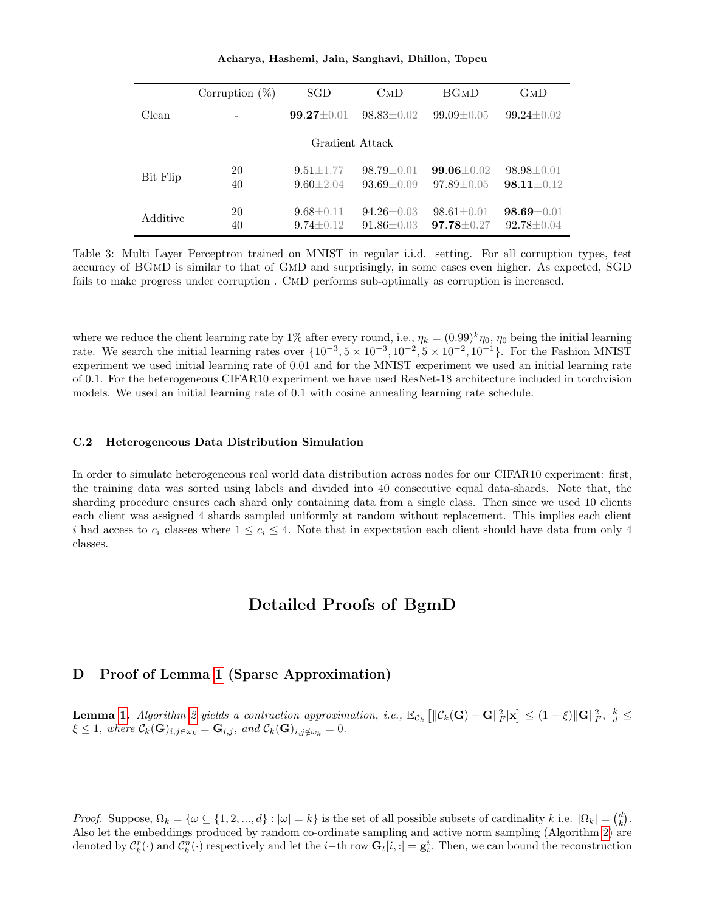Acharya, Hashemi, Jain, Sanghavi, Dhillon, Topcu

|                 | Corruption $(\%)$ | SGD                                | $\text{CMD}$                         | <b>BGMD</b>                          | GмD                                  |
|-----------------|-------------------|------------------------------------|--------------------------------------|--------------------------------------|--------------------------------------|
| Clean           |                   | $99.27 \pm 0.01$                   | $98.83 \pm 0.02$                     | $99.09 \pm 0.05$                     | $99.24 \pm 0.02$                     |
| Gradient Attack |                   |                                    |                                      |                                      |                                      |
| Bit Flip        | 20<br>40          | $9.51 \pm 1.77$<br>$9.60 \pm 2.04$ | $98.79 \pm 0.01$<br>$93.69 \pm 0.09$ | $99.06 \pm 0.02$<br>$97.89 \pm 0.05$ | $98.98 \pm 0.01$<br>$98.11 \pm 0.12$ |
| Additive        | 20<br>40          | $9.68 \pm 0.11$<br>$9.74 \pm 0.12$ | $94.26 \pm 0.03$<br>$91.86 \pm 0.03$ | $98.61 \pm 0.01$<br>$97.78 \pm 0.27$ | $98.69 \pm 0.01$<br>$92.78 \pm 0.04$ |

Table 3: Multi Layer Perceptron trained on MNIST in regular i.i.d. setting. For all corruption types, test accuracy of BGmD is similar to that of GmD and surprisingly, in some cases even higher. As expected, SGD fails to make progress under corruption . CmD performs sub-optimally as corruption is increased.

where we reduce the client learning rate by 1% after every round, i.e.,  $\eta_k = (0.99)^k \eta_0$ ,  $\eta_0$  being the initial learning rate. We search the initial learning rates over  $\{10^{-3}, 5 \times 10^{-3}, 10^{-2}, 5 \times 10^{-2}, 10^{-1}\}$ . For the Fashion MNIST experiment we used initial learning rate of 0.01 and for the MNIST experiment we used an initial learning rate of 0.1. For the heterogeneous CIFAR10 experiment we have used ResNet-18 architecture included in torchvision models. We used an initial learning rate of 0.1 with cosine annealing learning rate schedule.

### C.2 Heterogeneous Data Distribution Simulation

In order to simulate heterogeneous real world data distribution across nodes for our CIFAR10 experiment: first, the training data was sorted using labels and divided into 40 consecutive equal data-shards. Note that, the sharding procedure ensures each shard only containing data from a single class. Then since we used 10 clients each client was assigned 4 shards sampled uniformly at random without replacement. This implies each client i had access to  $c_i$  classes where  $1 \leq c_i \leq 4$ . Note that in expectation each client should have data from only 4 classes.

# Detailed Proofs of BgmD

### D Proof of Lemma [1](#page-3-1) (Sparse Approximation)

**Lemma [1.](#page-3-1)** Algorithm [2](#page-2-0) yields a contraction approximation, i.e.,  $\mathbb{E}_{\mathcal{C}_k} \left[ \|\mathcal{C}_k(\mathbf{G}) - \mathbf{G}\|_F^2 |\mathbf{x}| \leq (1 - \xi) \|\mathbf{G}\|_F^2, \frac{k}{d} \leq 1$  $\xi \leq 1$ , where  $\mathcal{C}_k(\mathbf{G})_{i,j \in \omega_k} = \mathbf{G}_{i,j}$ , and  $\mathcal{C}_k(\mathbf{G})_{i,j \notin \omega_k} = 0$ .

*Proof.* Suppose,  $\Omega_k = \{ \omega \subseteq \{1, 2, ..., d\} : |\omega| = k \}$  is the set of all possible subsets of cardinality k i.e.  $|\Omega_k| = \binom{d}{k}$ . Also let the embeddings produced by random co-ordinate sampling and active norm sampling (Algorithm [2\)](#page-2-0) are denoted by  $\mathcal{C}_k^r(\cdot)$  and  $\mathcal{C}_k^n(\cdot)$  respectively and let the *i*-th row  $\mathbf{G}_t[i, :] = \mathbf{g}_t^i$ . Then, we can bound the reconstruction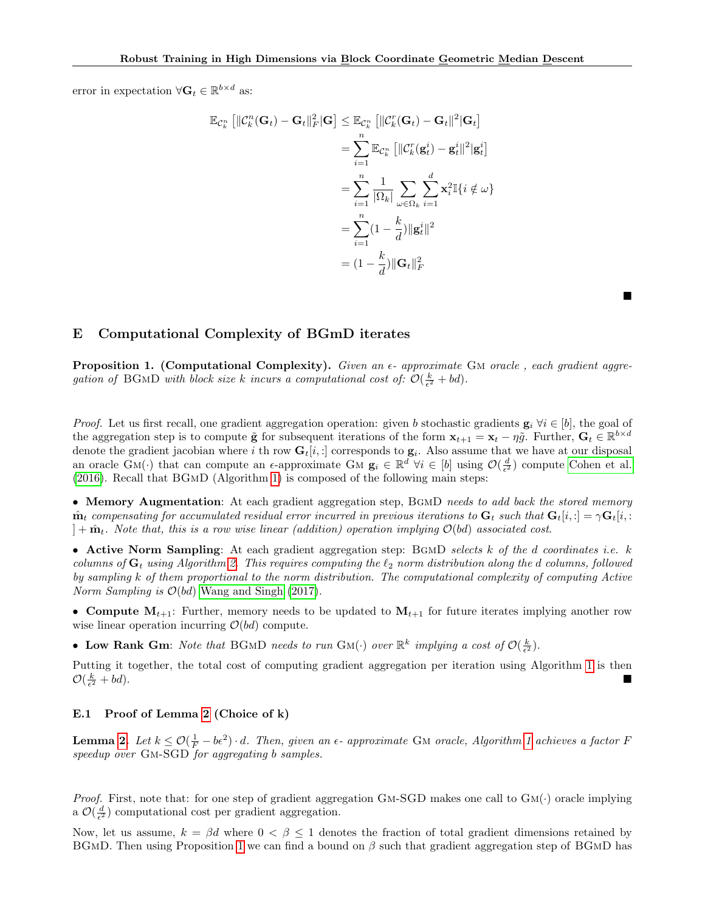error in expectation  $\forall \mathbf{G}_t \in \mathbb{R}^{b \times d}$  as:

$$
\mathbb{E}_{\mathcal{C}_k^n} \left[ \|\mathcal{C}_k^n(\mathbf{G}_t) - \mathbf{G}_t\|_F^2 |\mathbf{G} \right] \leq \mathbb{E}_{\mathcal{C}_k^n} \left[ \|\mathcal{C}_k^r(\mathbf{G}_t) - \mathbf{G}_t\|^2 |\mathbf{G}_t \right]
$$

$$
= \sum_{i=1}^n \mathbb{E}_{\mathcal{C}_k^n} \left[ \|\mathcal{C}_k^r(\mathbf{g}_t^i) - \mathbf{g}_t^i\|^2 |\mathbf{g}_t^i \right]
$$

$$
= \sum_{i=1}^n \frac{1}{|\Omega_k|} \sum_{\omega \in \Omega_k} \sum_{i=1}^d \mathbf{x}_i^2 \mathbb{I}\{i \notin \omega\}
$$

$$
= \sum_{i=1}^n (1 - \frac{k}{d}) ||\mathbf{g}_t^i||^2
$$

$$
= (1 - \frac{k}{d}) ||\mathbf{G}_t||_F^2
$$

<span id="page-17-0"></span>E Computational Complexity of BGmD iterates

<span id="page-17-1"></span>**Proposition 1.** (Computational Complexity). Given an  $\epsilon$ - approximate GM oracle, each gradient aggregation of BGMD with block size k incurs a computational cost of:  $\mathcal{O}(\frac{k}{\epsilon^2} + bd)$ .

■

*Proof.* Let us first recall, one gradient aggregation operation: given b stochastic gradients  $\mathbf{g}_i \ \forall i \in [b]$ , the goal of the aggregation step is to compute  $\tilde{\mathbf{g}}$  for subsequent iterations of the form  $\mathbf{x}_{t+1} = \mathbf{x}_t - \eta \tilde{g}$ . Further,  $\mathbf{G}_t \in \mathbb{R}^{b \times d}$ denote the gradient jacobian where i th row  $G_t[i, :]$  corresponds to  $g_i$ . Also assume that we have at our disposal an oracle  $GM(\cdot)$  that can compute an  $\epsilon$ -approximate GM  $\mathbf{g}_i \in \mathbb{R}^d$   $\forall i \in [b]$  using  $\mathcal{O}(\frac{d}{\epsilon^2})$  compute [Cohen et al.](#page-9-7) [\(2016\)](#page-9-7). Recall that BGmD (Algorithm [1\)](#page-2-1) is composed of the following main steps:

• Memory Augmentation: At each gradient aggregation step, BGMD needs to add back the stored memory  $\hat{\mathbf{m}}_t$  compensating for accumulated residual error incurred in previous iterations to  $\mathbf{G}_t$  such that  $\mathbf{G}_t[i, :] = \gamma \mathbf{G}_t[i, :]$  $]+\hat{\mathbf{m}}_t$ . Note that, this is a row wise linear (addition) operation implying  $\mathcal{O}(bd)$  associated cost.

• Active Norm Sampling: At each gradient aggregation step:  $BGMD$  selects k of the d coordinates i.e. k columns of  $G_t$  using Algorithm [2.](#page-2-0) This requires computing the  $\ell_2$  norm distribution along the d columns, followed by sampling k of them proportional to the norm distribution. The computational complexity of computing Active *Norm Sampling is*  $\mathcal{O}(bd)$  [Wang and Singh](#page-12-22) [\(2017\)](#page-12-22).

• Compute  $M_{t+1}$ : Further, memory needs to be updated to  $M_{t+1}$  for future iterates implying another row wise linear operation incurring  $\mathcal{O}(bd)$  compute.

• Low Rank Gm: Note that BGMD needs to run GM( $\cdot$ ) over  $\mathbb{R}^k$  implying a cost of  $\mathcal{O}(\frac{k}{\epsilon^2})$ .

Putting it together, the total cost of computing gradient aggregation per iteration using Algorithm [1](#page-2-1) is then  $\mathcal{O}(\frac{k}{\epsilon^2}$  $\frac{c}{2} + bd$ ).

### E.1 Proof of Lemma [2](#page-4-1) (Choice of k)

**Lemma [2.](#page-4-1)** Let  $k \leq \mathcal{O}(\frac{1}{F} - b\epsilon^2) \cdot d$ . Then, given an  $\epsilon$ - approximate GM oracle, Algorithm [1](#page-2-1) achieves a factor F speedup over Gm-SGD for aggregating b samples.

*Proof.* First, note that: for one step of gradient aggregation GM-SGD makes one call to  $GM(\cdot)$  oracle implying a  $\mathcal{O}(\frac{d}{\epsilon^2})$  computational cost per gradient aggregation.

Now, let us assume,  $k = \beta d$  where  $0 < \beta < 1$  denotes the fraction of total gradient dimensions retained by BGMD. Then using Proposition [1](#page-17-1) we can find a bound on  $\beta$  such that gradient aggregation step of BGMD has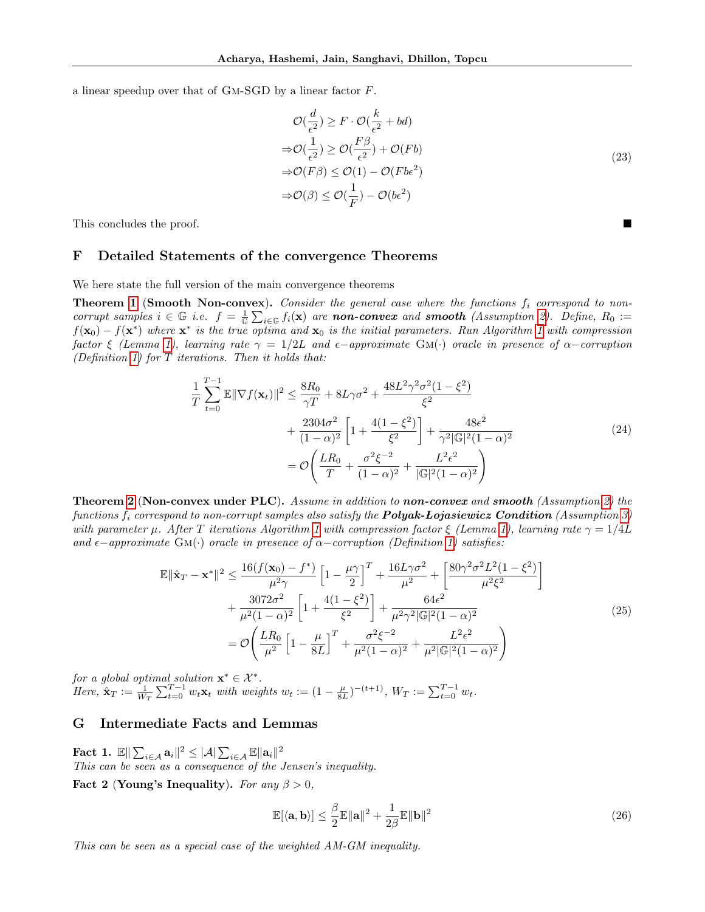a linear speedup over that of Gm-SGD by a linear factor F.

$$
\mathcal{O}(\frac{d}{\epsilon^2}) \ge F \cdot \mathcal{O}(\frac{k}{\epsilon^2} + bd)
$$
  
\n
$$
\Rightarrow \mathcal{O}(\frac{1}{\epsilon^2}) \ge \mathcal{O}(\frac{F\beta}{\epsilon^2}) + \mathcal{O}(Fb)
$$
  
\n
$$
\Rightarrow \mathcal{O}(F\beta) \le \mathcal{O}(1) - \mathcal{O}(Fbe^2)
$$
  
\n
$$
\Rightarrow \mathcal{O}(\beta) \le \mathcal{O}(\frac{1}{F}) - \mathcal{O}(be^2)
$$
\n(23)

This concludes the proof.

### F Detailed Statements of the convergence Theorems

We here state the full version of the main convergence theorems

**Theorem [1](#page-5-0) (Smooth Non-convex).** Consider the general case where the functions  $f_i$  correspond to noncorrupt samples  $i \in \mathbb{G}$  i.e.  $f = \frac{1}{\mathbb{G}} \sum_{i \in \mathbb{G}} f_i(\mathbf{x})$  are **non-convex** and **smooth** (Assumption [2\)](#page-5-2). Define,  $R_0 :=$  $f(\mathbf{x}_0) - f(\mathbf{x}^*)$  where  $\mathbf{x}^*$  is the true optima and  $\mathbf{x}_0$  is the initial parameters. Run Algorithm [1](#page-2-1) with compression factor ξ (Lemma [1\)](#page-3-1), learning rate  $\gamma = 1/2L$  and  $\epsilon$ -approximate GM(·) oracle in presence of  $\alpha$ -corruption (Definition [1\)](#page-0-1) for  $T$  iterations. Then it holds that:

$$
\frac{1}{T} \sum_{t=0}^{T-1} \mathbb{E} \|\nabla f(\mathbf{x}_t)\|^2 \le \frac{8R_0}{\gamma T} + 8L\gamma\sigma^2 + \frac{48L^2\gamma^2\sigma^2(1-\xi^2)}{\xi^2} \n+ \frac{2304\sigma^2}{(1-\alpha)^2} \left[1 + \frac{4(1-\xi^2)}{\xi^2}\right] + \frac{48\epsilon^2}{\gamma^2 |\mathbb{G}|^2 (1-\alpha)^2} \n= \mathcal{O}\left(\frac{LR_0}{T} + \frac{\sigma^2 \xi^{-2}}{(1-\alpha)^2} + \frac{L^2 \epsilon^2}{|\mathbb{G}|^2 (1-\alpha)^2}\right)
$$
\n(24)

**Theorem [2](#page-5-1)** (Non-convex under PLC). Assume in addition to non-convex and smooth (Assumption [2\)](#page-5-2) the functions  $f_i$  correspond to non-corrupt samples also satisfy the **Polyak-Lojasiewicz Condition** (Assumption [3\)](#page-5-3) with parameter  $\mu$ . After T iterations Algorithm [1](#page-2-1) with compression factor  $\xi$  (Lemma [1\)](#page-3-1), learning rate  $\gamma = 1/4L$ and  $\epsilon$ −approximate GM(·) oracle in presence of  $\alpha$ −corruption (Definition [1\)](#page-0-1) satisfies:

$$
\mathbb{E} \|\hat{\mathbf{x}}_{T} - \mathbf{x}^{*}\|^{2} \leq \frac{16(f(\mathbf{x}_{0}) - f^{*})}{\mu^{2} \gamma} \left[1 - \frac{\mu \gamma}{2}\right]^{T} + \frac{16L\gamma\sigma^{2}}{\mu^{2}} + \left[\frac{80\gamma^{2}\sigma^{2}L^{2}(1 - \xi^{2})}{\mu^{2}\xi^{2}}\right] + \frac{3072\sigma^{2}}{\mu^{2}(1 - \alpha)^{2}} \left[1 + \frac{4(1 - \xi^{2})}{\xi^{2}}\right] + \frac{64\epsilon^{2}}{\mu^{2} \gamma^{2} |\mathbb{G}|^{2}(1 - \alpha)^{2}} - \mathcal{O}\left(\frac{LR_{0}}{\mu^{2}} \left[1 - \frac{\mu}{8L}\right]^{T} + \frac{\sigma^{2}\xi^{-2}}{\mu^{2}(1 - \alpha)^{2}} + \frac{L^{2}\epsilon^{2}}{\mu^{2}|\mathbb{G}|^{2}(1 - \alpha)^{2}}\right)
$$
\n(25)

for a global optimal solution  $\mathbf{x}^* \in \mathcal{X}^*$ . Here,  $\hat{\mathbf{x}}_T := \frac{1}{W_T} \sum_{t=0}^{T-1} w_t \mathbf{x}_t$  with weights  $w_t := (1 - \frac{\mu}{8L})^{-(t+1)}$ ,  $W_T := \sum_{t=0}^{T-1} w_t$ .

# G Intermediate Facts and Lemmas

<span id="page-18-0"></span>Fact 1.  $\mathbb{E} \|\sum_{i\in \mathcal{A}} \mathbf{a}_i\|^2 \leq |\mathcal{A}| \sum_{i\in \mathcal{A}} \mathbb{E} \|\mathbf{a}_i\|^2$ This can be seen as a consequence of the Jensen's inequality.

<span id="page-18-1"></span>Fact 2 (Young's Inequality). For any  $\beta > 0$ ,

$$
\mathbb{E}[\langle \mathbf{a}, \mathbf{b} \rangle] \le \frac{\beta}{2} \mathbb{E} \|\mathbf{a}\|^2 + \frac{1}{2\beta} \mathbb{E} \|\mathbf{b}\|^2 \tag{26}
$$

This can be seen as a special case of the weighted AM-GM inequality.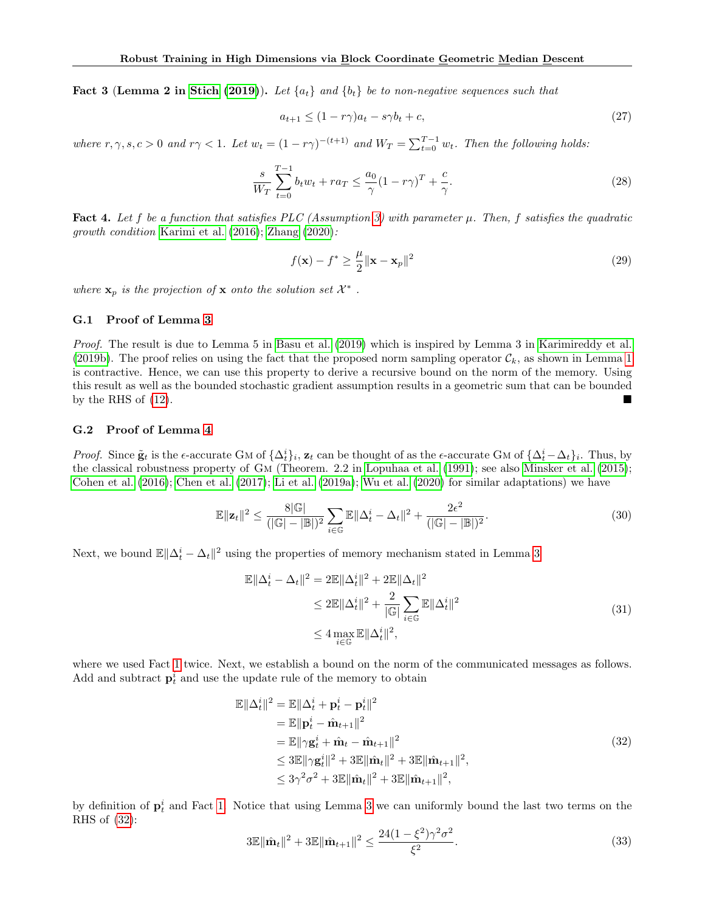<span id="page-19-3"></span>**Fact 3 (Lemma 2 in [Stich](#page-12-23) [\(2019\)](#page-12-23)).** Let  $\{a_t\}$  and  $\{b_t\}$  be to non-negative sequences such that

$$
a_{t+1} \le (1 - r\gamma)a_t - s\gamma b_t + c,\tag{27}
$$

where  $r, \gamma, s, c > 0$  and  $r\gamma < 1$ . Let  $w_t = (1 - r\gamma)^{-(t+1)}$  and  $W_T = \sum_{t=0}^{T-1} w_t$ . Then the following holds:

$$
\frac{s}{W_T} \sum_{t=0}^{T-1} b_t w_t + r a_T \le \frac{a_0}{\gamma} (1 - r \gamma)^T + \frac{c}{\gamma}.
$$
\n(28)

<span id="page-19-4"></span>**Fact 4.** Let f be a function that satisfies PLC (Assumption [3\)](#page-5-3) with parameter  $\mu$ . Then, f satisfies the quadratic growth condition [Karimi et al.](#page-10-11) [\(2016\)](#page-10-11); [Zhang](#page-12-24) [\(2020\)](#page-12-24):

$$
f(\mathbf{x}) - f^* \ge \frac{\mu}{2} ||\mathbf{x} - \mathbf{x}_p||^2
$$
 (29)

where  $\mathbf{x}_p$  is the projection of  $\mathbf x$  onto the solution set  $\mathcal{X}^*$ .

#### G.1 Proof of Lemma [3](#page-6-2)

Proof. The result is due to Lemma 5 in [Basu et al.](#page-9-22) [\(2019\)](#page-9-22) which is inspired by Lemma 3 in [Karimireddy et al.](#page-10-8) [\(2019b\)](#page-10-8). The proof relies on using the fact that the proposed norm sampling operator  $\mathcal{C}_k$ , as shown in Lemma [1](#page-3-1) is contractive. Hence, we can use this property to derive a recursive bound on the norm of the memory. Using this result as well as the bounded stochastic gradient assumption results in a geometric sum that can be bounded by the RHS of  $(12)$ .

#### G.2 Proof of Lemma [4](#page-6-0)

*Proof.* Since  $\tilde{\mathbf{g}}_t$  is the  $\epsilon$ -accurate GM of  $\{\Delta_t^i\}_i$ ,  $\mathbf{z}_t$  can be thought of as the  $\epsilon$ -accurate GM of  $\{\Delta_t^i - \Delta_t\}_i$ . Thus, by the classical robustness property of Gm (Theorem. 2.2 in [Lopuhaa et al.](#page-11-4) [\(1991\)](#page-11-4); see also [Minsker et al.](#page-11-6) [\(2015\)](#page-11-6); [Cohen et al.](#page-9-7) [\(2016\)](#page-9-7); [Chen et al.](#page-9-5) [\(2017\)](#page-9-5); [Li et al.](#page-11-27) [\(2019a\)](#page-11-27); [Wu et al.](#page-12-0) [\(2020\)](#page-12-0) for similar adaptations) we have

<span id="page-19-2"></span>
$$
\mathbb{E}\|\mathbf{z}_t\|^2 \le \frac{8|\mathbb{G}|}{(|\mathbb{G}|-|\mathbb{B}|)^2} \sum_{i\in\mathbb{G}} \mathbb{E}\|\Delta_t^i - \Delta_t\|^2 + \frac{2\epsilon^2}{(|\mathbb{G}|-|\mathbb{B}|)^2}.
$$
 (30)

Next, we bound  $\mathbb{E} \|\Delta_t^i - \Delta_t\|^2$  using the properties of memory mechanism stated in Lemma [3](#page-6-2)

<span id="page-19-1"></span>
$$
\mathbb{E}||\Delta_t^i - \Delta_t||^2 = 2\mathbb{E}||\Delta_t^i||^2 + 2\mathbb{E}||\Delta_t||^2
$$
  
\n
$$
\leq 2\mathbb{E}||\Delta_t^i||^2 + \frac{2}{|\mathbb{G}|}\sum_{i\in\mathbb{G}}\mathbb{E}||\Delta_t^i||^2
$$
  
\n
$$
\leq 4\max_{i\in\mathbb{G}}\mathbb{E}||\Delta_t^i||^2,
$$
\n(31)

where we used Fact [1](#page-18-0) twice. Next, we establish a bound on the norm of the communicated messages as follows. Add and subtract  $\mathbf{p}_t^i$  and use the update rule of the memory to obtain

<span id="page-19-0"></span>
$$
\mathbb{E}||\Delta_t^i||^2 = \mathbb{E}||\Delta_t^i + \mathbf{p}_t^i - \mathbf{p}_t^i||^2
$$
  
\n
$$
= \mathbb{E}||\mathbf{p}_t^i - \hat{\mathbf{m}}_{t+1}||^2
$$
  
\n
$$
= \mathbb{E}||\gamma \mathbf{g}_t^i + \hat{\mathbf{m}}_t - \hat{\mathbf{m}}_{t+1}||^2
$$
  
\n
$$
\leq 3\mathbb{E}||\gamma \mathbf{g}_t^i||^2 + 3\mathbb{E}||\hat{\mathbf{m}}_t||^2 + 3\mathbb{E}||\hat{\mathbf{m}}_{t+1}||^2,
$$
  
\n
$$
\leq 3\gamma^2 \sigma^2 + 3\mathbb{E}||\hat{\mathbf{m}}_t||^2 + 3\mathbb{E}||\hat{\mathbf{m}}_{t+1}||^2,
$$
\n(32)

by definition of  $\mathbf{p}_t^i$  and Fact [1.](#page-18-0) Notice that using Lemma [3](#page-6-2) we can uniformly bound the last two terms on the RHS of [\(32\)](#page-19-0):

$$
3\mathbb{E} \|\hat{\mathbf{m}}_t\|^2 + 3\mathbb{E} \|\hat{\mathbf{m}}_{t+1}\|^2 \le \frac{24(1-\xi^2)\gamma^2 \sigma^2}{\xi^2}.
$$
\n(33)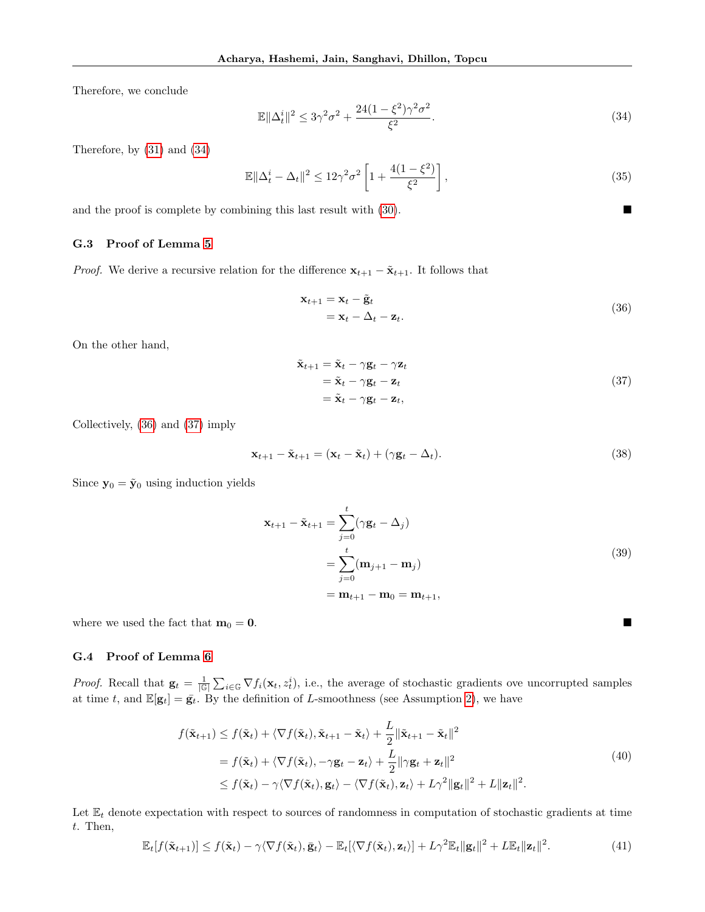Therefore, we conclude

<span id="page-20-0"></span>
$$
\mathbb{E}||\Delta_t^i||^2 \le 3\gamma^2\sigma^2 + \frac{24(1-\xi^2)\gamma^2\sigma^2}{\xi^2}.
$$
\n(34)

Therefore, by [\(31\)](#page-19-1) and [\(34\)](#page-20-0)

$$
\mathbb{E}||\Delta_t^i - \Delta_t||^2 \le 12\gamma^2 \sigma^2 \left[1 + \frac{4(1 - \xi^2)}{\xi^2}\right],\tag{35}
$$

and the proof is complete by combining this last result with  $(30)$ .

### G.3 Proof of Lemma [5](#page-6-1)

*Proof.* We derive a recursive relation for the difference  $\mathbf{x}_{t+1} - \tilde{\mathbf{x}}_{t+1}$ . It follows that

<span id="page-20-1"></span>
$$
\mathbf{x}_{t+1} = \mathbf{x}_t - \tilde{\mathbf{g}}_t \n= \mathbf{x}_t - \Delta_t - \mathbf{z}_t.
$$
\n(36)

On the other hand,

<span id="page-20-2"></span>
$$
\tilde{\mathbf{x}}_{t+1} = \tilde{\mathbf{x}}_t - \gamma \mathbf{g}_t - \gamma \mathbf{z}_t \n= \tilde{\mathbf{x}}_t - \gamma \mathbf{g}_t - \mathbf{z}_t \n= \tilde{\mathbf{x}}_t - \gamma \mathbf{g}_t - \mathbf{z}_t,
$$
\n(37)

Collectively, [\(36\)](#page-20-1) and [\(37\)](#page-20-2) imply

$$
\mathbf{x}_{t+1} - \tilde{\mathbf{x}}_{t+1} = (\mathbf{x}_t - \tilde{\mathbf{x}}_t) + (\gamma \mathbf{g}_t - \Delta_t). \tag{38}
$$

Since  $y_0 = \tilde{y}_0$  using induction yields

$$
\mathbf{x}_{t+1} - \tilde{\mathbf{x}}_{t+1} = \sum_{j=0}^{t} (\gamma \mathbf{g}_t - \Delta_j)
$$
  
= 
$$
\sum_{j=0}^{t} (\mathbf{m}_{j+1} - \mathbf{m}_j)
$$
  
= 
$$
\mathbf{m}_{t+1} - \mathbf{m}_0 = \mathbf{m}_{t+1},
$$
 (39)

where we used the fact that  $m_0 = 0$ .

#### G.4 Proof of Lemma [6](#page-6-4)

*Proof.* Recall that  $\mathbf{g}_t = \frac{1}{|\mathbb{G}|} \sum_{i \in \mathbb{G}} \nabla f_i(\mathbf{x}_t, z_t^i)$ , i.e., the average of stochastic gradients ove uncorrupted samples at time t, and  $\mathbb{E}[\mathbf{g}_t] = \bar{\mathbf{g}_t}$ . By the definition of L-smoothness (see Assumption [2\)](#page-5-2), we have

$$
f(\tilde{\mathbf{x}}_{t+1}) \le f(\tilde{\mathbf{x}}_t) + \langle \nabla f(\tilde{\mathbf{x}}_t), \tilde{\mathbf{x}}_{t+1} - \tilde{\mathbf{x}}_t \rangle + \frac{L}{2} ||\tilde{\mathbf{x}}_{t+1} - \tilde{\mathbf{x}}_t||^2
$$
  
=  $f(\tilde{\mathbf{x}}_t) + \langle \nabla f(\tilde{\mathbf{x}}_t), -\gamma \mathbf{g}_t - \mathbf{z}_t \rangle + \frac{L}{2} ||\gamma \mathbf{g}_t + \mathbf{z}_t||^2$   

$$
\le f(\tilde{\mathbf{x}}_t) - \gamma \langle \nabla f(\tilde{\mathbf{x}}_t), \mathbf{g}_t \rangle - \langle \nabla f(\tilde{\mathbf{x}}_t), \mathbf{z}_t \rangle + L\gamma^2 ||\mathbf{g}_t||^2 + L||\mathbf{z}_t||^2.
$$
 (40)

Let  $\mathbb{E}_t$  denote expectation with respect to sources of randomness in computation of stochastic gradients at time t. Then,

<span id="page-20-3"></span>
$$
\mathbb{E}_t[f(\tilde{\mathbf{x}}_{t+1})] \le f(\tilde{\mathbf{x}}_t) - \gamma \langle \nabla f(\tilde{\mathbf{x}}_t), \bar{\mathbf{g}}_t \rangle - \mathbb{E}_t[\langle \nabla f(\tilde{\mathbf{x}}_t), \mathbf{z}_t \rangle] + L\gamma^2 \mathbb{E}_t ||\mathbf{g}_t||^2 + L\mathbb{E}_t ||\mathbf{z}_t||^2. \tag{41}
$$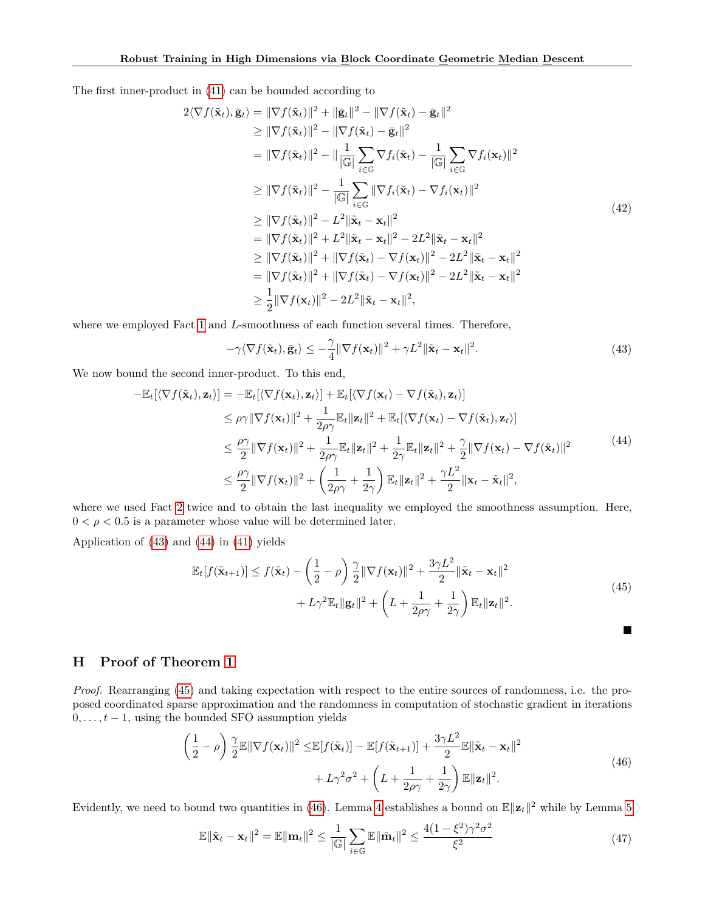The first inner-product in [\(41\)](#page-20-3) can be bounded according to

$$
2\langle \nabla f(\tilde{\mathbf{x}}_t), \bar{\mathbf{g}}_t \rangle = \|\nabla f(\tilde{\mathbf{x}}_t)\|^2 + \|\bar{\mathbf{g}}_t\|^2 - \|\nabla f(\tilde{\mathbf{x}}_t) - \bar{\mathbf{g}}_t\|^2
$$
  
\n
$$
\geq \|\nabla f(\tilde{\mathbf{x}}_t)\|^2 - \|\nabla f(\tilde{\mathbf{x}}_t) - \bar{\mathbf{g}}_t\|^2
$$
  
\n
$$
= \|\nabla f(\tilde{\mathbf{x}}_t)\|^2 - \|\frac{1}{|\mathbb{G}|} \sum_{i \in \mathbb{G}} \nabla f_i(\tilde{\mathbf{x}}_t) - \frac{1}{|\mathbb{G}|} \sum_{i \in \mathbb{G}} \nabla f_i(\mathbf{x}_t)\|^2
$$
  
\n
$$
\geq \|\nabla f(\tilde{\mathbf{x}}_t)\|^2 - \frac{1}{|\mathbb{G}|} \sum_{i \in \mathbb{G}} \|\nabla f_i(\tilde{\mathbf{x}}_t) - \nabla f_i(\mathbf{x}_t)\|^2
$$
  
\n
$$
\geq \|\nabla f(\tilde{\mathbf{x}}_t)\|^2 - L^2 \|\tilde{\mathbf{x}}_t - \mathbf{x}_t\|^2
$$
  
\n
$$
= \|\nabla f(\tilde{\mathbf{x}}_t)\|^2 + L^2 \|\tilde{\mathbf{x}}_t - \mathbf{x}_t\|^2 - 2L^2 \|\tilde{\mathbf{x}}_t - \mathbf{x}_t\|^2
$$
  
\n
$$
\geq \|\nabla f(\tilde{\mathbf{x}}_t)\|^2 + \|\nabla f(\tilde{\mathbf{x}}_t) - \nabla f(\mathbf{x}_t)\|^2 - 2L^2 \|\tilde{\mathbf{x}}_t - \mathbf{x}_t\|^2
$$
  
\n
$$
= \|\nabla f(\tilde{\mathbf{x}}_t)\|^2 + \|\nabla f(\tilde{\mathbf{x}}_t) - \nabla f(\mathbf{x}_t)\|^2 - 2L^2 \|\tilde{\mathbf{x}}_t - \mathbf{x}_t\|^2
$$
  
\n
$$
\geq \frac{1}{2} \|\nabla f(\mathbf{x}_t)\|^2 - 2L^2 \|\tilde{\mathbf{x}}_t - \mathbf{x}_t\|^
$$

where we employed Fact [1](#page-18-0) and L-smoothness of each function several times. Therefore,

<span id="page-21-0"></span>
$$
-\gamma \langle \nabla f(\tilde{\mathbf{x}}_t), \bar{\mathbf{g}}_t \rangle \le -\frac{\gamma}{4} \|\nabla f(\mathbf{x}_t)\|^2 + \gamma L^2 \|\tilde{\mathbf{x}}_t - \mathbf{x}_t\|^2.
$$
 (43)

We now bound the second inner-product. To this end,

<span id="page-21-1"></span>
$$
-\mathbb{E}_{t}[\langle \nabla f(\tilde{\mathbf{x}}_{t}), \mathbf{z}_{t} \rangle] = -\mathbb{E}_{t}[\langle \nabla f(\mathbf{x}_{t}), \mathbf{z}_{t} \rangle] + \mathbb{E}_{t}[\langle \nabla f(\mathbf{x}_{t}) - \nabla f(\tilde{\mathbf{x}}_{t}), \mathbf{z}_{t} \rangle]
$$
  
\n
$$
\leq \rho \gamma \|\nabla f(\mathbf{x}_{t})\|^{2} + \frac{1}{2\rho \gamma} \mathbb{E}_{t} \|\mathbf{z}_{t}\|^{2} + \mathbb{E}_{t}[\langle \nabla f(\mathbf{x}_{t}) - \nabla f(\tilde{\mathbf{x}}_{t}), \mathbf{z}_{t} \rangle]
$$
  
\n
$$
\leq \frac{\rho \gamma}{2} \|\nabla f(\mathbf{x}_{t})\|^{2} + \frac{1}{2\rho \gamma} \mathbb{E}_{t} \|\mathbf{z}_{t}\|^{2} + \frac{1}{2\gamma} \mathbb{E}_{t} \|\mathbf{z}_{t}\|^{2} + \frac{\gamma}{2} \|\nabla f(\mathbf{x}_{t}) - \nabla f(\tilde{\mathbf{x}}_{t})\|^{2}
$$
  
\n
$$
\leq \frac{\rho \gamma}{2} \|\nabla f(\mathbf{x}_{t})\|^{2} + \left(\frac{1}{2\rho \gamma} + \frac{1}{2\gamma}\right) \mathbb{E}_{t} \|\mathbf{z}_{t}\|^{2} + \frac{\gamma L^{2}}{2} \|\mathbf{x}_{t} - \tilde{\mathbf{x}}_{t}\|^{2},
$$
\n(44)

where we used Fact [2](#page-18-1) twice and to obtain the last inequality we employed the smoothness assumption. Here,  $0 < \rho < 0.5$  is a parameter whose value will be determined later.

Application of [\(43\)](#page-21-0) and [\(44\)](#page-21-1) in [\(41\)](#page-20-3) yields

<span id="page-21-2"></span>
$$
\mathbb{E}_{t}[f(\tilde{\mathbf{x}}_{t+1})] \le f(\tilde{\mathbf{x}}_{t}) - \left(\frac{1}{2} - \rho\right) \frac{\gamma}{2} ||\nabla f(\mathbf{x}_{t})||^{2} + \frac{3\gamma L^{2}}{2} ||\tilde{\mathbf{x}}_{t} - \mathbf{x}_{t}||^{2} + L\gamma^{2} \mathbb{E}_{t} ||\mathbf{g}_{t}||^{2} + \left(L + \frac{1}{2\rho\gamma} + \frac{1}{2\gamma}\right) \mathbb{E}_{t} ||\mathbf{z}_{t}||^{2}.
$$
\n(45)

■

# H Proof of Theorem [1](#page-5-0)

Proof. Rearranging [\(45\)](#page-21-2) and taking expectation with respect to the entire sources of randomness, i.e. the proposed coordinated sparse approximation and the randomness in computation of stochastic gradient in iterations  $0, \ldots, t-1$ , using the bounded SFO assumption yields

<span id="page-21-3"></span>
$$
\left(\frac{1}{2} - \rho\right) \frac{\gamma}{2} \mathbb{E} \|\nabla f(\mathbf{x}_t)\|^2 \le \mathbb{E}[f(\tilde{\mathbf{x}}_t)] - \mathbb{E}[f(\tilde{\mathbf{x}}_{t+1})] + \frac{3\gamma L^2}{2} \mathbb{E} \|\tilde{\mathbf{x}}_t - \mathbf{x}_t\|^2 + L\gamma^2 \sigma^2 + \left(L + \frac{1}{2\rho\gamma} + \frac{1}{2\gamma}\right) \mathbb{E} \|\mathbf{z}_t\|^2.
$$
\n(46)

Evidently, we need to bound two quantities in [\(46\)](#page-21-3). Lemma [4](#page-6-0) establishes a bound on  $\mathbb{E} \|\mathbf{z}_t\|^2$  while by Lemma [5](#page-6-1)

<span id="page-21-4"></span>
$$
\mathbb{E}\|\tilde{\mathbf{x}}_t - \mathbf{x}_t\|^2 = \mathbb{E}\|\mathbf{m}_t\|^2 \le \frac{1}{|\mathbb{G}|}\sum_{i\in\mathbb{G}}\mathbb{E}\|\hat{\mathbf{m}}_t\|^2 \le \frac{4(1-\xi^2)\gamma^2\sigma^2}{\xi^2}
$$
(47)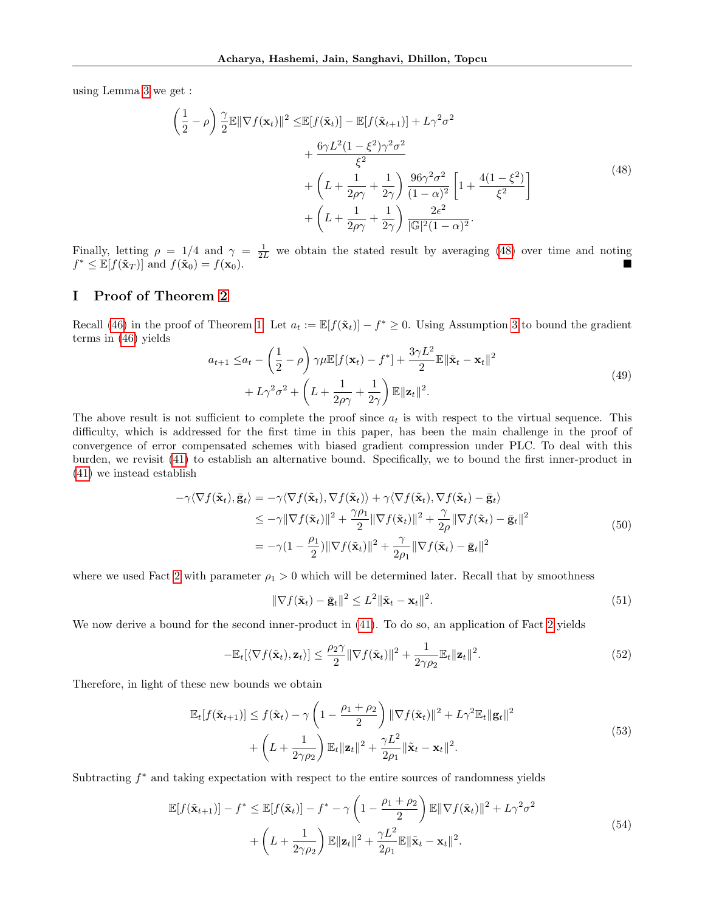using Lemma [3](#page-6-2) we get :

<span id="page-22-0"></span>
$$
\left(\frac{1}{2} - \rho\right) \frac{\gamma}{2} \mathbb{E} \|\nabla f(\mathbf{x}_t)\|^2 \le \mathbb{E}[f(\tilde{\mathbf{x}}_t)] - \mathbb{E}[f(\tilde{\mathbf{x}}_{t+1})] + L\gamma^2 \sigma^2 \n+ \frac{6\gamma L^2 (1 - \xi^2)\gamma^2 \sigma^2}{\xi^2} \n+ \left(L + \frac{1}{2\rho\gamma} + \frac{1}{2\gamma}\right) \frac{96\gamma^2 \sigma^2}{(1 - \alpha)^2} \left[1 + \frac{4(1 - \xi^2)}{\xi^2}\right] \n+ \left(L + \frac{1}{2\rho\gamma} + \frac{1}{2\gamma}\right) \frac{2\epsilon^2}{|\mathbb{G}|^2 (1 - \alpha)^2}.
$$
\n(48)

Finally, letting  $\rho = 1/4$  and  $\gamma = \frac{1}{2L}$  we obtain the stated result by averaging [\(48\)](#page-22-0) over time and noting  $f^* \leq \mathbb{E}[f(\tilde{\mathbf{x}}_T)]$  and  $f(\tilde{\mathbf{x}}_0) = f(\mathbf{x}_0)$ .

## I Proof of Theorem [2](#page-5-1)

Recall [\(46\)](#page-21-3) in the proof of Theorem [1.](#page-5-0) Let  $a_t := \mathbb{E}[f(\tilde{\mathbf{x}}_t)] - f^* \geq 0$ . Using Assumption [3](#page-5-3) to bound the gradient terms in [\(46\)](#page-21-3) yields

<span id="page-22-2"></span>
$$
a_{t+1} \le a_t - \left(\frac{1}{2} - \rho\right) \gamma \mu \mathbb{E}[f(\mathbf{x}_t) - f^*] + \frac{3\gamma L^2}{2} \mathbb{E} \|\tilde{\mathbf{x}}_t - \mathbf{x}_t\|^2
$$
  
+  $L\gamma^2 \sigma^2 + \left(L + \frac{1}{2\rho\gamma} + \frac{1}{2\gamma}\right) \mathbb{E} \|\mathbf{z}_t\|^2.$  (49)

The above result is not sufficient to complete the proof since  $a_t$  is with respect to the virtual sequence. This difficulty, which is addressed for the first time in this paper, has been the main challenge in the proof of convergence of error compensated schemes with biased gradient compression under PLC. To deal with this burden, we revisit [\(41\)](#page-20-3) to establish an alternative bound. Specifically, we to bound the first inner-product in [\(41\)](#page-20-3) we instead establish

$$
-\gamma \langle \nabla f(\tilde{\mathbf{x}}_t), \bar{\mathbf{g}}_t \rangle = -\gamma \langle \nabla f(\tilde{\mathbf{x}}_t), \nabla f(\tilde{\mathbf{x}}_t) \rangle + \gamma \langle \nabla f(\tilde{\mathbf{x}}_t), \nabla f(\tilde{\mathbf{x}}_t) - \bar{\mathbf{g}}_t \rangle
$$
  
\n
$$
\leq -\gamma \|\nabla f(\tilde{\mathbf{x}}_t)\|^2 + \frac{\gamma \rho_1}{2} \|\nabla f(\tilde{\mathbf{x}}_t)\|^2 + \frac{\gamma}{2\rho} \|\nabla f(\tilde{\mathbf{x}}_t) - \bar{\mathbf{g}}_t\|^2
$$
  
\n
$$
= -\gamma (1 - \frac{\rho_1}{2}) \|\nabla f(\tilde{\mathbf{x}}_t)\|^2 + \frac{\gamma}{2\rho_1} \|\nabla f(\tilde{\mathbf{x}}_t) - \bar{\mathbf{g}}_t\|^2
$$
\n(50)

where we used Fact [2](#page-18-1) with parameter  $\rho_1 > 0$  which will be determined later. Recall that by smoothness

$$
\|\nabla f(\tilde{\mathbf{x}}_t) - \bar{\mathbf{g}}_t\|^2 \le L^2 \|\tilde{\mathbf{x}}_t - \mathbf{x}_t\|^2. \tag{51}
$$

We now derive a bound for the second inner-product in  $(41)$ . To do so, an application of Fact [2](#page-18-1) yields

$$
-\mathbb{E}_{t}[\langle \nabla f(\tilde{\mathbf{x}}_{t}), \mathbf{z}_{t} \rangle] \leq \frac{\rho_2 \gamma}{2} \|\nabla f(\tilde{\mathbf{x}}_{t})\|^2 + \frac{1}{2\gamma \rho_2} \mathbb{E}_{t} \|\mathbf{z}_{t}\|^2.
$$
 (52)

Therefore, in light of these new bounds we obtain

$$
\mathbb{E}_{t}[f(\tilde{\mathbf{x}}_{t+1})] \le f(\tilde{\mathbf{x}}_{t}) - \gamma \left(1 - \frac{\rho_1 + \rho_2}{2}\right) \|\nabla f(\tilde{\mathbf{x}}_{t})\|^2 + L\gamma^2 \mathbb{E}_{t} \|\mathbf{g}_{t}\|^2 + \left(L + \frac{1}{2\gamma \rho_2}\right) \mathbb{E}_{t} \|\mathbf{z}_{t}\|^2 + \frac{\gamma L^2}{2\rho_1} \|\tilde{\mathbf{x}}_{t} - \mathbf{x}_{t}\|^2.
$$
\n(53)

Subtracting  $f^*$  and taking expectation with respect to the entire sources of randomness yields

<span id="page-22-1"></span>
$$
\mathbb{E}[f(\tilde{\mathbf{x}}_{t+1})] - f^* \leq \mathbb{E}[f(\tilde{\mathbf{x}}_t)] - f^* - \gamma \left(1 - \frac{\rho_1 + \rho_2}{2}\right) \mathbb{E} \|\nabla f(\tilde{\mathbf{x}}_t)\|^2 + L\gamma^2 \sigma^2
$$
  
+ 
$$
\left(L + \frac{1}{2\gamma \rho_2}\right) \mathbb{E} \|\mathbf{z}_t\|^2 + \frac{\gamma L^2}{2\rho_1} \mathbb{E} \|\tilde{\mathbf{x}}_t - \mathbf{x}_t\|^2.
$$
 (54)